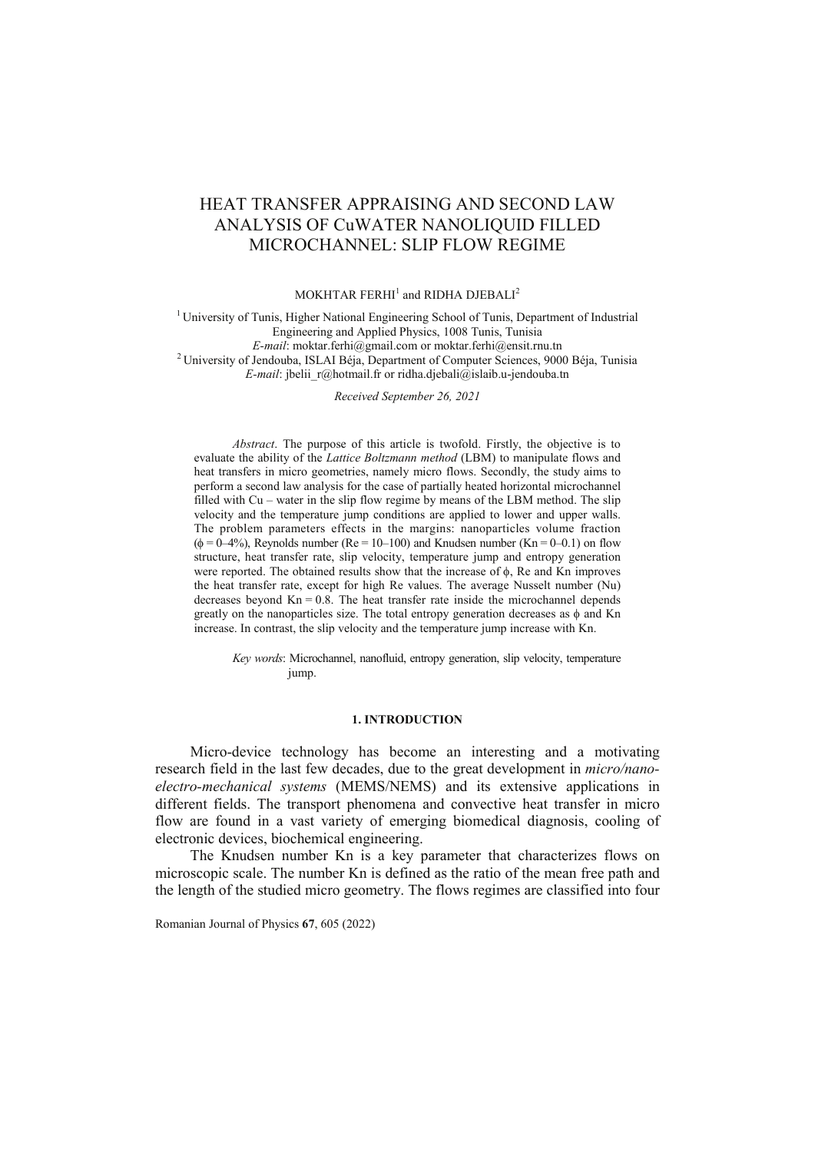# HEAT TRANSFER APPRAISING AND SECOND LAW ANALYSIS OF CuWATER NANOLIQUID FILLED MICROCHANNEL: SLIP FLOW REGIME

#### MOKHTAR FERHI<sup>1</sup> and RIDHA DJEBALI<sup>2</sup>

<sup>1</sup> University of Tunis, Higher National Engineering School of Tunis, Department of Industrial Engineering and Applied Physics, 1008 Tunis, Tunisia *E-mail*: moktar.ferhi@gmail.com or moktar.ferhi@ensit.rnu.tn 2 University of Jendouba, ISLAI Béja, Department of Computer Sciences, 9000 Béja, Tunisia *E-mail*: jbelii\_r@hotmail.fr or ridha.djebali@islaib.u-jendouba.tn

*Received September 26, 2021*

*Abstract*. The purpose of this article is twofold. Firstly, the objective is to evaluate the ability of the *Lattice Boltzmann method* (LBM) to manipulate flows and heat transfers in micro geometries, namely micro flows. Secondly, the study aims to perform a second law analysis for the case of partially heated horizontal microchannel filled with Cu – water in the slip flow regime by means of the LBM method. The slip velocity and the temperature jump conditions are applied to lower and upper walls. The problem parameters effects in the margins: nanoparticles volume fraction  $(\phi = 0$ –4%), Reynolds number (Re = 10–100) and Knudsen number (Kn = 0–0.1) on flow structure, heat transfer rate, slip velocity, temperature jump and entropy generation were reported. The obtained results show that the increase of φ, Re and Kn improves the heat transfer rate, except for high Re values. The average Nusselt number (Nu) decreases beyond  $Kn = 0.8$ . The heat transfer rate inside the microchannel depends greatly on the nanoparticles size. The total entropy generation decreases as  $\phi$  and Kn increase. In contrast, the slip velocity and the temperature jump increase with Kn.

*Key words*: Microchannel, nanofluid, entropy generation, slip velocity, temperature jump.

### **1. INTRODUCTION**

Micro-device technology has become an interesting and a motivating research field in the last few decades, due to the great development in *micro/nanoelectro-mechanical systems* (MEMS/NEMS) and its extensive applications in different fields. The transport phenomena and convective heat transfer in micro flow are found in a vast variety of emerging biomedical diagnosis, cooling of electronic devices, biochemical engineering.

The Knudsen number Kn is a key parameter that characterizes flows on microscopic scale. The number Kn is defined as the ratio of the mean free path and the length of the studied micro geometry. The flows regimes are classified into four

Romanian Journal of Physics **67**, 605 (2022)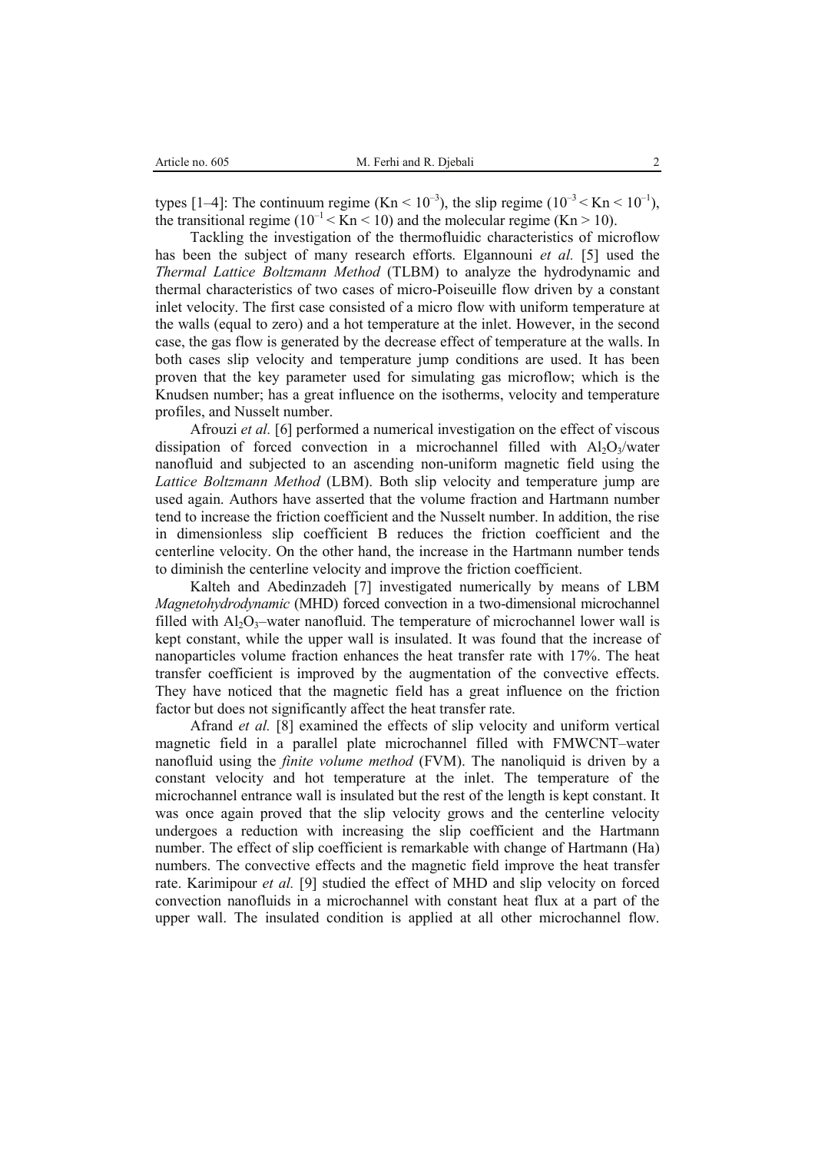types [1–4]: The continuum regime (Kn  $\leq 10^{-3}$ ), the slip regime (10<sup>-3</sup>  $\leq$  Kn  $\leq 10^{-1}$ ), the transitional regime ( $10^{-1}$  < Kn < 10) and the molecular regime (Kn > 10).

Tackling the investigation of the thermofluidic characteristics of microflow has been the subject of many research efforts. Elgannouni *et al.* [5] used the *Thermal Lattice Boltzmann Method* (TLBM) to analyze the hydrodynamic and thermal characteristics of two cases of micro-Poiseuille flow driven by a constant inlet velocity. The first case consisted of a micro flow with uniform temperature at the walls (equal to zero) and a hot temperature at the inlet. However, in the second case, the gas flow is generated by the decrease effect of temperature at the walls. In both cases slip velocity and temperature jump conditions are used. It has been proven that the key parameter used for simulating gas microflow; which is the Knudsen number; has a great influence on the isotherms, velocity and temperature profiles, and Nusselt number.

Afrouzi *et al.* [6] performed a numerical investigation on the effect of viscous dissipation of forced convection in a microchannel filled with  $Al_2O_3/water$ nanofluid and subjected to an ascending non-uniform magnetic field using the *Lattice Boltzmann Method* (LBM). Both slip velocity and temperature jump are used again. Authors have asserted that the volume fraction and Hartmann number tend to increase the friction coefficient and the Nusselt number. In addition, the rise in dimensionless slip coefficient B reduces the friction coefficient and the centerline velocity. On the other hand, the increase in the Hartmann number tends to diminish the centerline velocity and improve the friction coefficient.

Kalteh and Abedinzadeh [7] investigated numerically by means of LBM *Magnetohydrodynamic* (MHD) forced convection in a two-dimensional microchannel filled with  $Al_2O_3$ -water nanofluid. The temperature of microchannel lower wall is kept constant, while the upper wall is insulated. It was found that the increase of nanoparticles volume fraction enhances the heat transfer rate with 17%. The heat transfer coefficient is improved by the augmentation of the convective effects. They have noticed that the magnetic field has a great influence on the friction factor but does not significantly affect the heat transfer rate.

Afrand *et al.* [8] examined the effects of slip velocity and uniform vertical magnetic field in a parallel plate microchannel filled with FMWCNT–water nanofluid using the *finite volume method* (FVM). The nanoliquid is driven by a constant velocity and hot temperature at the inlet. The temperature of the microchannel entrance wall is insulated but the rest of the length is kept constant. It was once again proved that the slip velocity grows and the centerline velocity undergoes a reduction with increasing the slip coefficient and the Hartmann number. The effect of slip coefficient is remarkable with change of Hartmann (Ha) numbers. The convective effects and the magnetic field improve the heat transfer rate. Karimipour *et al.* [9] studied the effect of MHD and slip velocity on forced convection nanofluids in a microchannel with constant heat flux at a part of the upper wall. The insulated condition is applied at all other microchannel flow.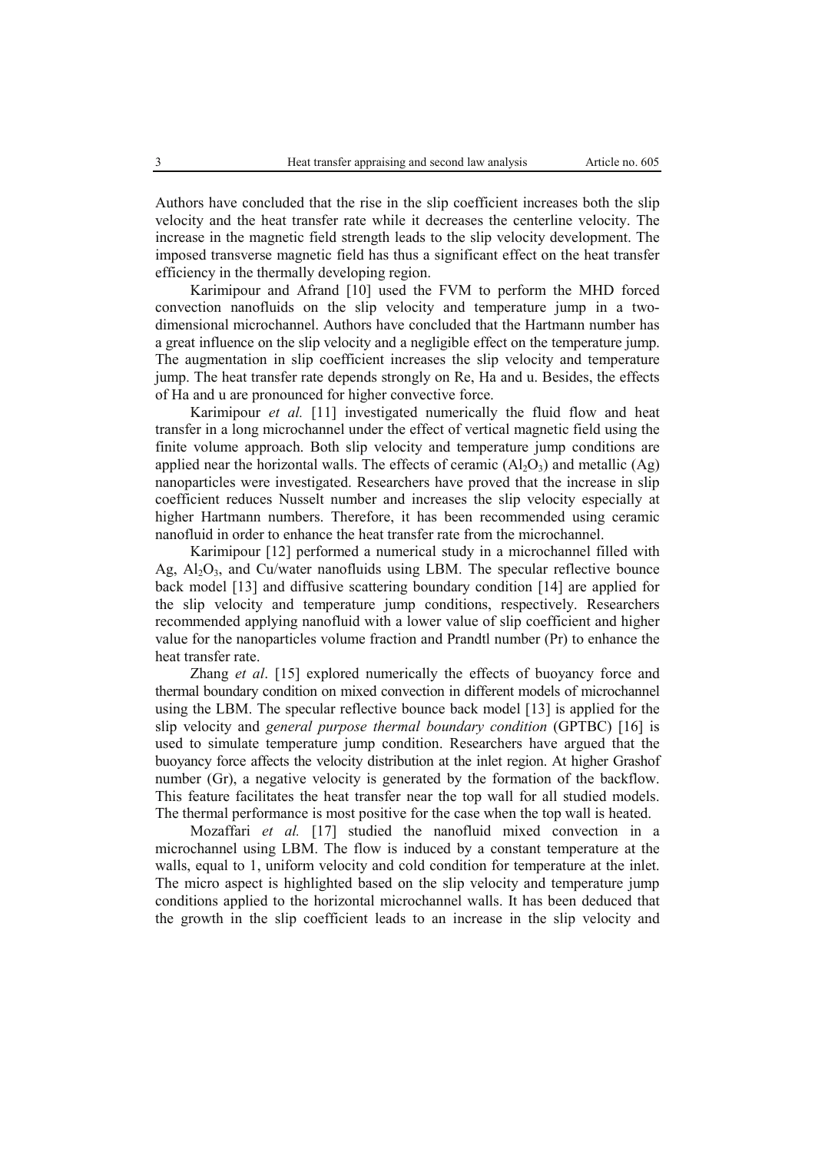Authors have concluded that the rise in the slip coefficient increases both the slip velocity and the heat transfer rate while it decreases the centerline velocity. The increase in the magnetic field strength leads to the slip velocity development. The imposed transverse magnetic field has thus a significant effect on the heat transfer efficiency in the thermally developing region.

Karimipour and Afrand [10] used the FVM to perform the MHD forced convection nanofluids on the slip velocity and temperature jump in a twodimensional microchannel. Authors have concluded that the Hartmann number has a great influence on the slip velocity and a negligible effect on the temperature jump. The augmentation in slip coefficient increases the slip velocity and temperature jump. The heat transfer rate depends strongly on Re, Ha and u. Besides, the effects of Ha and u are pronounced for higher convective force.

Karimipour *et al.* [11] investigated numerically the fluid flow and heat transfer in a long microchannel under the effect of vertical magnetic field using the finite volume approach. Both slip velocity and temperature jump conditions are applied near the horizontal walls. The effects of ceramic  $(A<sub>1</sub>, O<sub>3</sub>)$  and metallic  $(A<sub>2</sub>)$ nanoparticles were investigated. Researchers have proved that the increase in slip coefficient reduces Nusselt number and increases the slip velocity especially at higher Hartmann numbers. Therefore, it has been recommended using ceramic nanofluid in order to enhance the heat transfer rate from the microchannel.

Karimipour [12] performed a numerical study in a microchannel filled with Ag,  $Al_2O_3$ , and Cu/water nanofluids using LBM. The specular reflective bounce back model [13] and diffusive scattering boundary condition [14] are applied for the slip velocity and temperature jump conditions, respectively. Researchers recommended applying nanofluid with a lower value of slip coefficient and higher value for the nanoparticles volume fraction and Prandtl number (Pr) to enhance the heat transfer rate.

Zhang *et al*. [15] explored numerically the effects of buoyancy force and thermal boundary condition on mixed convection in different models of microchannel using the LBM. The specular reflective bounce back model [13] is applied for the slip velocity and *general purpose thermal boundary condition* (GPTBC) [16] is used to simulate temperature jump condition. Researchers have argued that the buoyancy force affects the velocity distribution at the inlet region. At higher Grashof number (Gr), a negative velocity is generated by the formation of the backflow. This feature facilitates the heat transfer near the top wall for all studied models. The thermal performance is most positive for the case when the top wall is heated.

Mozaffari *et al.* [17] studied the nanofluid mixed convection in a microchannel using LBM. The flow is induced by a constant temperature at the walls, equal to 1, uniform velocity and cold condition for temperature at the inlet. The micro aspect is highlighted based on the slip velocity and temperature jump conditions applied to the horizontal microchannel walls. It has been deduced that the growth in the slip coefficient leads to an increase in the slip velocity and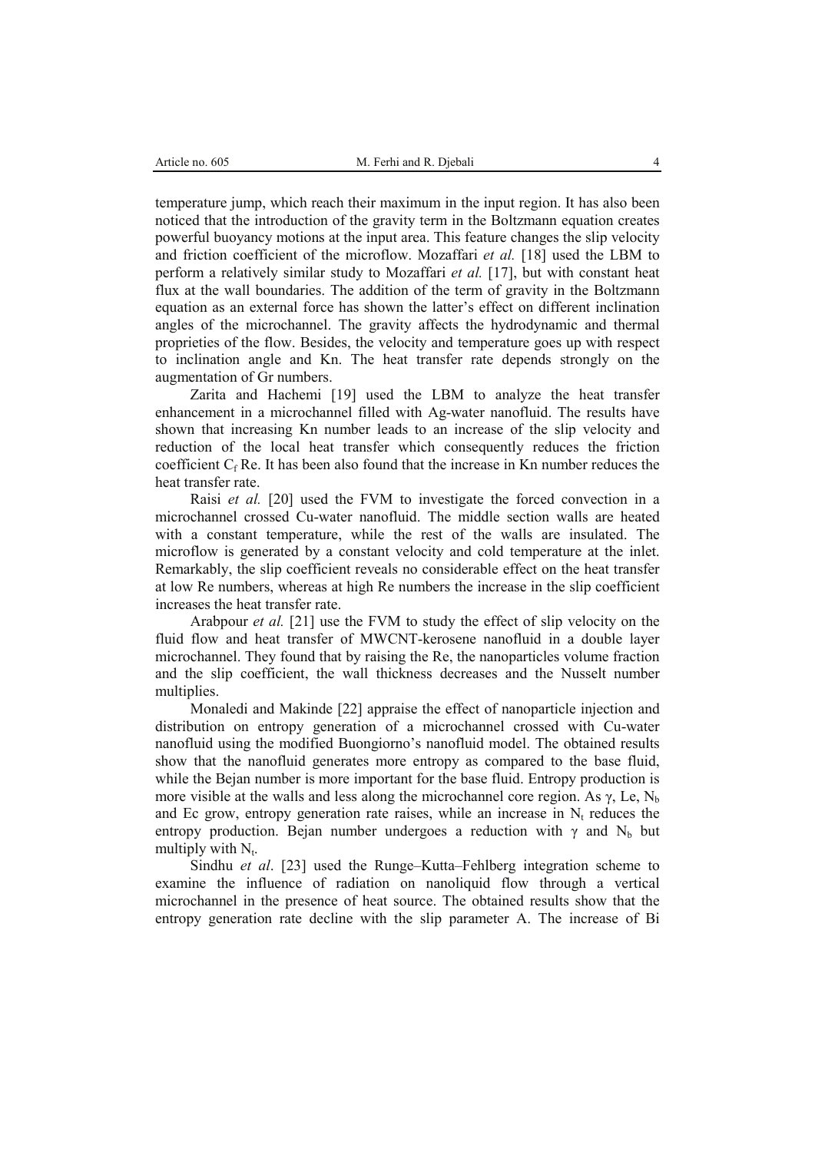temperature jump, which reach their maximum in the input region. It has also been noticed that the introduction of the gravity term in the Boltzmann equation creates powerful buoyancy motions at the input area. This feature changes the slip velocity and friction coefficient of the microflow. Mozaffari *et al.* [18] used the LBM to perform a relatively similar study to Mozaffari *et al.* [17], but with constant heat flux at the wall boundaries. The addition of the term of gravity in the Boltzmann equation as an external force has shown the latter's effect on different inclination angles of the microchannel. The gravity affects the hydrodynamic and thermal proprieties of the flow. Besides, the velocity and temperature goes up with respect to inclination angle and Kn. The heat transfer rate depends strongly on the augmentation of Gr numbers.

Zarita and Hachemi [19] used the LBM to analyze the heat transfer enhancement in a microchannel filled with Ag-water nanofluid. The results have shown that increasing Kn number leads to an increase of the slip velocity and reduction of the local heat transfer which consequently reduces the friction coefficient  $C_f$  Re. It has been also found that the increase in Kn number reduces the heat transfer rate.

Raisi *et al.* [20] used the FVM to investigate the forced convection in a microchannel crossed Cu-water nanofluid. The middle section walls are heated with a constant temperature, while the rest of the walls are insulated. The microflow is generated by a constant velocity and cold temperature at the inlet. Remarkably, the slip coefficient reveals no considerable effect on the heat transfer at low Re numbers, whereas at high Re numbers the increase in the slip coefficient increases the heat transfer rate.

Arabpour *et al.* [21] use the FVM to study the effect of slip velocity on the fluid flow and heat transfer of MWCNT-kerosene nanofluid in a double layer microchannel. They found that by raising the Re, the nanoparticles volume fraction and the slip coefficient, the wall thickness decreases and the Nusselt number multiplies.

Monaledi and Makinde [22] appraise the effect of nanoparticle injection and distribution on entropy generation of a microchannel crossed with Cu-water nanofluid using the modified Buongiorno's nanofluid model. The obtained results show that the nanofluid generates more entropy as compared to the base fluid, while the Bejan number is more important for the base fluid. Entropy production is more visible at the walls and less along the microchannel core region. As γ, Le, N<sub>b</sub> and Ec grow, entropy generation rate raises, while an increase in  $N_t$  reduces the entropy production. Bejan number undergoes a reduction with  $\gamma$  and N<sub>b</sub> but multiply with  $N_t$ .

Sindhu *et al*. [23] used the Runge–Kutta–Fehlberg integration scheme to examine the influence of radiation on nanoliquid flow through a vertical microchannel in the presence of heat source. The obtained results show that the entropy generation rate decline with the slip parameter A. The increase of Bi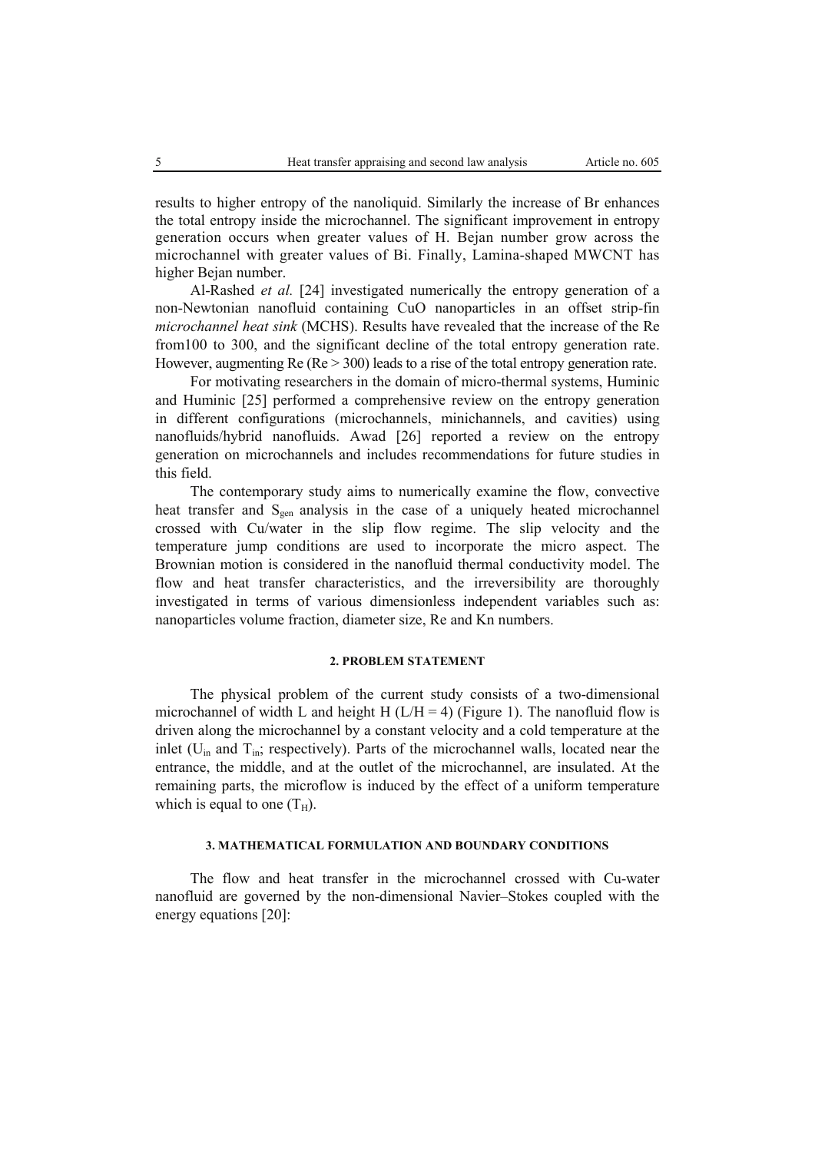results to higher entropy of the nanoliquid. Similarly the increase of Br enhances the total entropy inside the microchannel. The significant improvement in entropy generation occurs when greater values of H. Bejan number grow across the microchannel with greater values of Bi. Finally, Lamina-shaped MWCNT has higher Bejan number.

Al-Rashed *et al.* [24] investigated numerically the entropy generation of a non-Newtonian nanofluid containing CuO nanoparticles in an offset strip-fin *microchannel heat sink* (MCHS). Results have revealed that the increase of the Re from100 to 300, and the significant decline of the total entropy generation rate. However, augmenting  $\text{Re}(\text{Re} > 300)$  leads to a rise of the total entropy generation rate.

For motivating researchers in the domain of micro-thermal systems, Huminic and Huminic [25] performed a comprehensive review on the entropy generation in different configurations (microchannels, minichannels, and cavities) using nanofluids/hybrid nanofluids. Awad [26] reported a review on the entropy generation on microchannels and includes recommendations for future studies in this field.

The contemporary study aims to numerically examine the flow, convective heat transfer and  $S_{gen}$  analysis in the case of a uniquely heated microchannel crossed with Cu/water in the slip flow regime. The slip velocity and the temperature jump conditions are used to incorporate the micro aspect. The Brownian motion is considered in the nanofluid thermal conductivity model. The flow and heat transfer characteristics, and the irreversibility are thoroughly investigated in terms of various dimensionless independent variables such as: nanoparticles volume fraction, diameter size, Re and Kn numbers.

### **2. PROBLEM STATEMENT**

The physical problem of the current study consists of a two-dimensional microchannel of width L and height H ( $L/H = 4$ ) (Figure 1). The nanofluid flow is driven along the microchannel by a constant velocity and a cold temperature at the inlet  $(U_{in}$  and  $T_{in}$ ; respectively). Parts of the microchannel walls, located near the entrance, the middle, and at the outlet of the microchannel, are insulated. At the remaining parts, the microflow is induced by the effect of a uniform temperature which is equal to one  $(T_H)$ .

#### **3. MATHEMATICAL FORMULATION AND BOUNDARY CONDITIONS**

The flow and heat transfer in the microchannel crossed with Cu-water nanofluid are governed by the non-dimensional Navier–Stokes coupled with the energy equations [20]: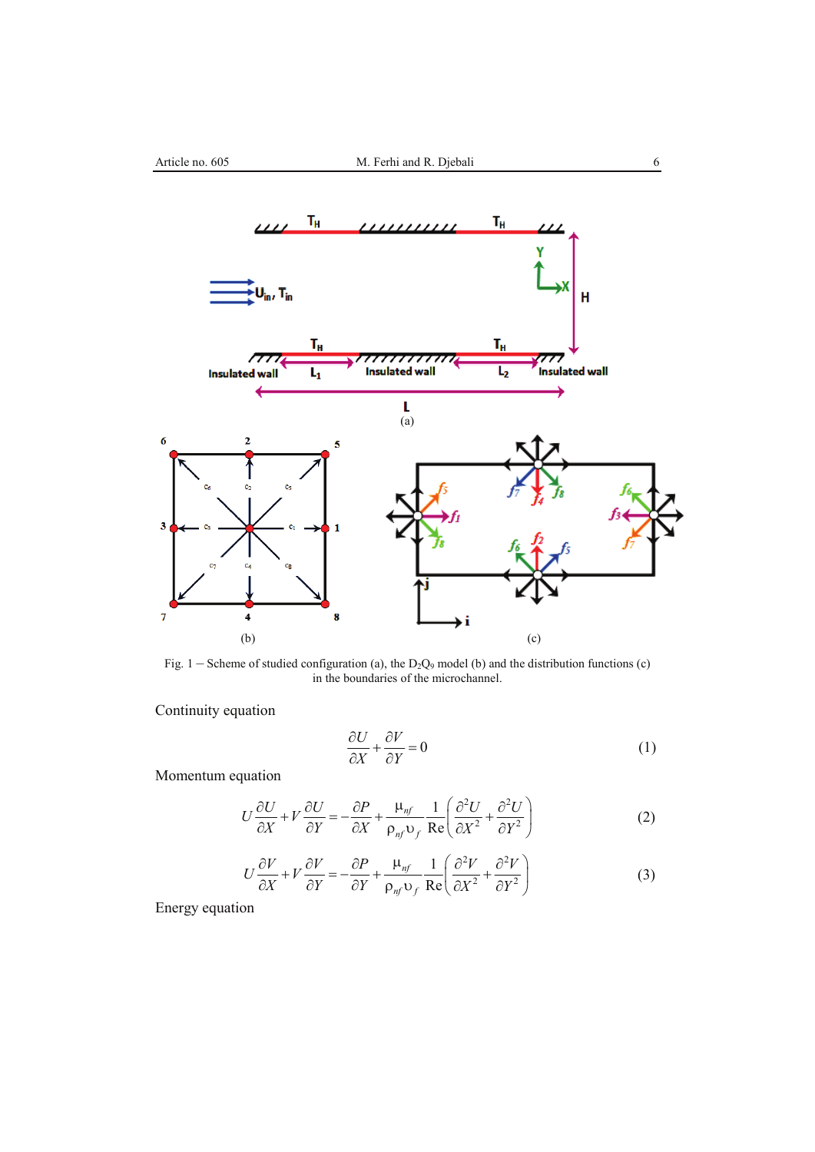

Fig. 1 – Scheme of studied configuration (a), the  $D_2Q_9$  model (b) and the distribution functions (c) in the boundaries of the microchannel.

Continuity equation

$$
\frac{\partial U}{\partial X} + \frac{\partial V}{\partial Y} = 0\tag{1}
$$

Momentum equation

$$
U\frac{\partial U}{\partial X} + V\frac{\partial U}{\partial Y} = -\frac{\partial P}{\partial X} + \frac{\mu_{nf}}{\rho_{nf}\nu_f} \frac{1}{\text{Re}} \left(\frac{\partial^2 U}{\partial X^2} + \frac{\partial^2 U}{\partial Y^2}\right)
$$
(2)

$$
U\frac{\partial V}{\partial X} + V\frac{\partial V}{\partial Y} = -\frac{\partial P}{\partial Y} + \frac{\mu_{nf}}{\rho_{nf}v_f} \frac{1}{\text{Re}} \left( \frac{\partial^2 V}{\partial X^2} + \frac{\partial^2 V}{\partial Y^2} \right)
$$
(3)

Energy equation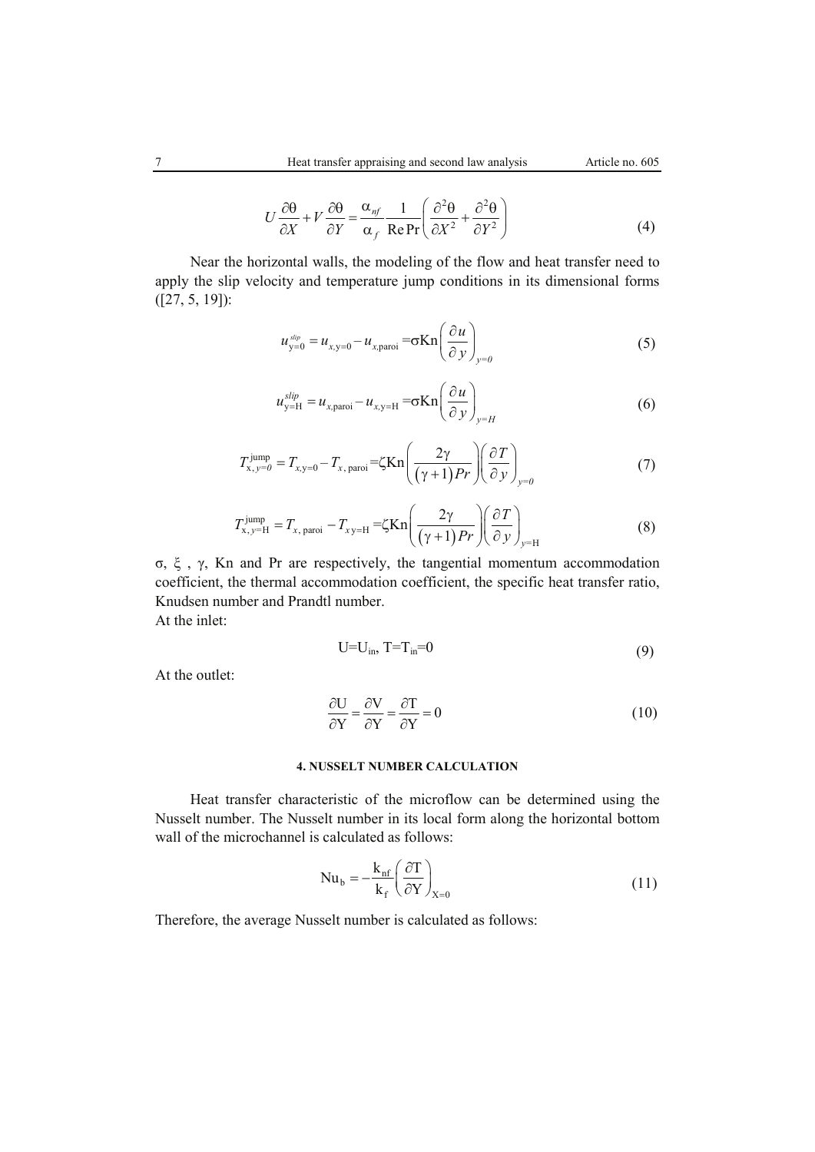$$
U\frac{\partial\theta}{\partial X} + V\frac{\partial\theta}{\partial Y} = \frac{\alpha_{nf}}{\alpha_f} \frac{1}{\text{Re Pr}} \left( \frac{\partial^2 \theta}{\partial X^2} + \frac{\partial^2 \theta}{\partial Y^2} \right)
$$
(4)

Near the horizontal walls, the modeling of the flow and heat transfer need to apply the slip velocity and temperature jump conditions in its dimensional forms ([27, 5, 19]):

$$
u_{y=0}^{slip} = u_{x,y=0} - u_{x,\text{paroi}} = \sigma Kn \left( \frac{\partial u}{\partial y} \right)_{y=0}
$$
 (5)

$$
u_{y=H}^{slip} = u_{x, \text{paroi}} - u_{x, y=H} = \sigma Kn \left(\frac{\partial u}{\partial y}\right)_{y=H}
$$
 (6)

$$
T_{x,y=0}^{jump} = T_{x,y=0} - T_{x,\,\text{paroi}} = \zeta \mathbf{Kn} \left( \frac{2\gamma}{(\gamma+1)Pr} \right) \left( \frac{\partial T}{\partial y} \right)_{y=0} \tag{7}
$$

$$
T_{x,y=H}^{jump} = T_{x,\,\text{paroi}} - T_{xy=H} = \zeta \text{Kn} \left( \frac{2\gamma}{(\gamma+1)Pr} \right) \left( \frac{\partial T}{\partial y} \right)_{y=H}
$$
 (8)

σ, ξ , γ, Kn and Pr are respectively, the tangential momentum accommodation coefficient, the thermal accommodation coefficient, the specific heat transfer ratio, Knudsen number and Prandtl number. At the inlet:

$$
U=U_{\text{in}}, T=T_{\text{in}}=0\tag{9}
$$

At the outlet:

$$
\frac{\partial U}{\partial Y} = \frac{\partial V}{\partial Y} = \frac{\partial T}{\partial Y} = 0
$$
\n(10)

# **4. NUSSELT NUMBER CALCULATION**

Heat transfer characteristic of the microflow can be determined using the Nusselt number. The Nusselt number in its local form along the horizontal bottom wall of the microchannel is calculated as follows:

$$
Nu_{b} = -\frac{k_{nf}}{k_{f}} \left(\frac{\partial T}{\partial Y}\right)_{X=0}
$$
 (11)

Therefore, the average Nusselt number is calculated as follows: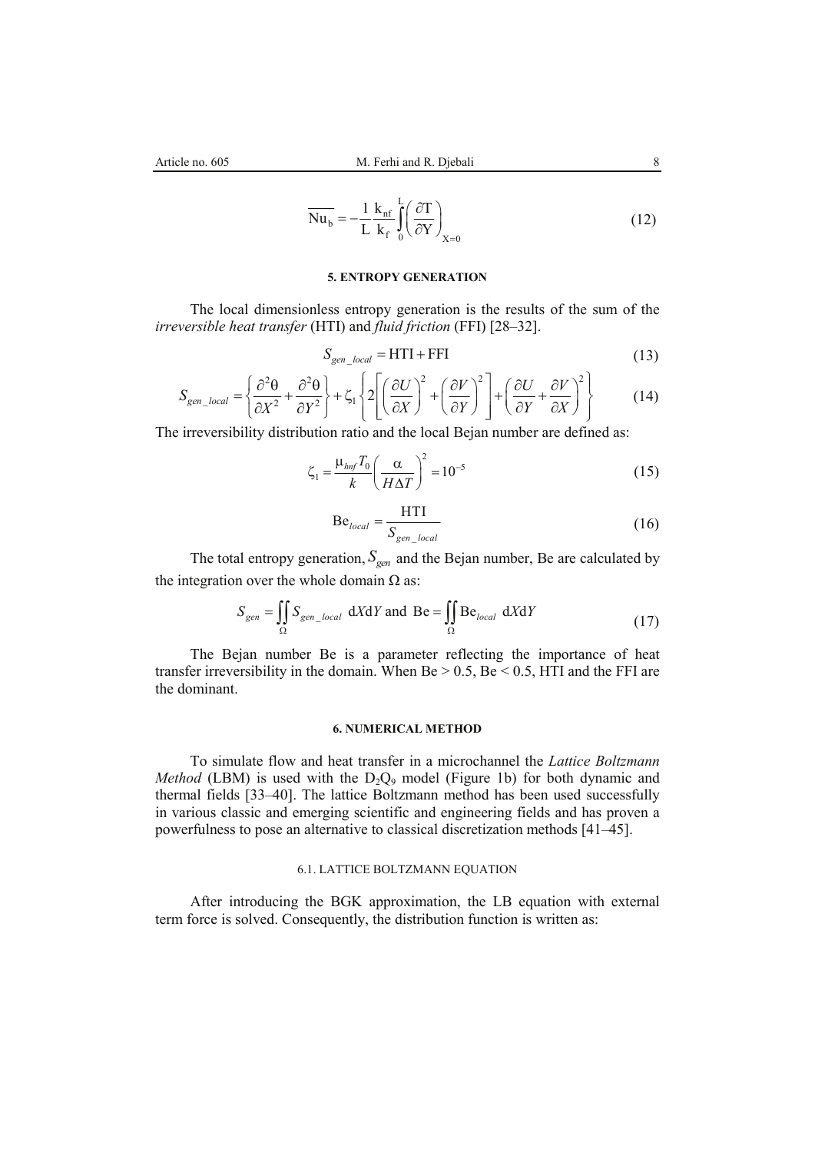$$
\overline{\mathrm{Nu}_{b}} = -\frac{1}{L} \frac{k_{\mathrm{nf}}}{k_{\mathrm{f}}} \int_{0}^{L} \left(\frac{\partial T}{\partial Y}\right)_{X=0} \tag{12}
$$

### **5. ENTROPY GENERATION**

The local dimensionless entropy generation is the results of the sum of the *irreversible heat transfer* (HTI) and *fluid friction* (FFI) [28–32].

$$
S_{gen\_local} = HTI + FFI
$$
 (13)

$$
S_{gen\_local} = \left\{ \frac{\partial^2 \theta}{\partial X^2} + \frac{\partial^2 \theta}{\partial Y^2} \right\} + \zeta_1 \left\{ 2 \left[ \left( \frac{\partial U}{\partial X} \right)^2 + \left( \frac{\partial V}{\partial Y} \right)^2 \right] + \left( \frac{\partial U}{\partial Y} + \frac{\partial V}{\partial X} \right)^2 \right\} \tag{14}
$$

The irreversibility distribution ratio and the local Bejan number are defined as:

$$
\zeta_1 = \frac{\mu_{hnf} T_0}{k} \left(\frac{\alpha}{H\Delta T}\right)^2 = 10^{-5}
$$
\n(15)

$$
Be_{local} = \frac{HTI}{S_{gen\_local}}
$$
 (16)

The total entropy generation,  $S_{gen}$  and the Bejan number, Be are calculated by the integration over the whole domain  $\Omega$  as:

$$
S_{gen} = \iint_{\Omega} S_{gen\_local} dX dY \text{ and } \text{Be} = \iint_{\Omega} \text{Be}_{local} dX dY \tag{17}
$$

The Bejan number Be is a parameter reflecting the importance of heat transfer irreversibility in the domain. When  $Be > 0.5$ ,  $Be < 0.5$ , HTI and the FFI are the dominant.

#### **6. NUMERICAL METHOD**

To simulate flow and heat transfer in a microchannel the *Lattice Boltzmann Method* (LBM) is used with the  $D_2Q_9$  model (Figure 1b) for both dynamic and thermal fields [33–40]. The lattice Boltzmann method has been used successfully in various classic and emerging scientific and engineering fields and has proven a powerfulness to pose an alternative to classical discretization methods [41–45].

### 6.1. LATTICE BOLTZMANN EQUATION

After introducing the BGK approximation, the LB equation with external term force is solved. Consequently, the distribution function is written as: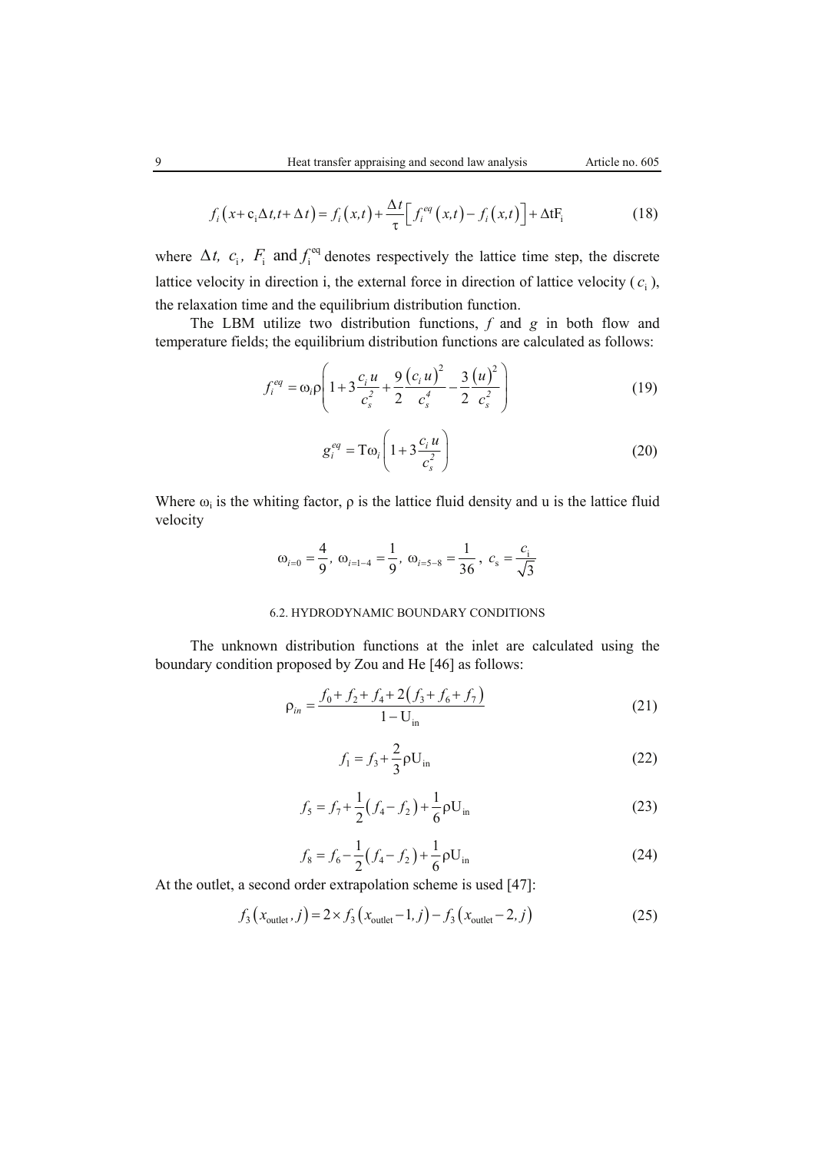$$
f_i(x+c_i\Delta t, t+\Delta t) = f_i(x,t) + \frac{\Delta t}{\tau} \Big[ f_i^{eq}(x,t) - f_i(x,t) \Big] + \Delta t F_i
$$
 (18)

where  $\Delta t$ ,  $c_i$ ,  $F_i$  and  $f_i^{\text{eq}}$  denotes respectively the lattice time step, the discrete lattice velocity in direction i, the external force in direction of lattice velocity  $(c_i)$ , the relaxation time and the equilibrium distribution function.

The LBM utilize two distribution functions, *f* and *g* in both flow and temperature fields; the equilibrium distribution functions are calculated as follows:

$$
f_i^{eq} = \omega_i \rho \left( 1 + 3 \frac{c_i u}{c_s^2} + \frac{9}{2} \frac{(c_i u)^2}{c_s^4} - \frac{3}{2} \frac{(u)^2}{c_s^2} \right)
$$
 (19)

$$
g_i^{eq} = \text{T}\omega_i \left( 1 + 3 \frac{c_i u}{c_s^2} \right) \tag{20}
$$

Where  $\omega_i$  is the whiting factor,  $\rho$  is the lattice fluid density and u is the lattice fluid velocity

$$
\omega_{i=0} = \frac{4}{9}, \ \omega_{i=1-4} = \frac{1}{9}, \ \omega_{i=5-8} = \frac{1}{36}, \ c_{s} = \frac{c_{i}}{\sqrt{3}}
$$

#### 6.2. HYDRODYNAMIC BOUNDARY CONDITIONS

The unknown distribution functions at the inlet are calculated using the boundary condition proposed by Zou and He [46] as follows:

$$
\rho_{in} = \frac{f_0 + f_2 + f_4 + 2(f_3 + f_6 + f_7)}{1 - U_{in}} \tag{21}
$$

$$
f_1 = f_3 + \frac{2}{3} \rho U_{\text{in}} \tag{22}
$$

$$
f_5 = f_7 + \frac{1}{2}(f_4 - f_2) + \frac{1}{6}\rho U_{\text{in}}
$$
 (23)

$$
f_8 = f_6 - \frac{1}{2} (f_4 - f_2) + \frac{1}{6} \rho U_{\text{in}} \tag{24}
$$

At the outlet, a second order extrapolation scheme is used [47]:

$$
f_3(x_{\text{outlet}}, j) = 2 \times f_3(x_{\text{outlet}} - 1, j) - f_3(x_{\text{outlet}} - 2, j)
$$
 (25)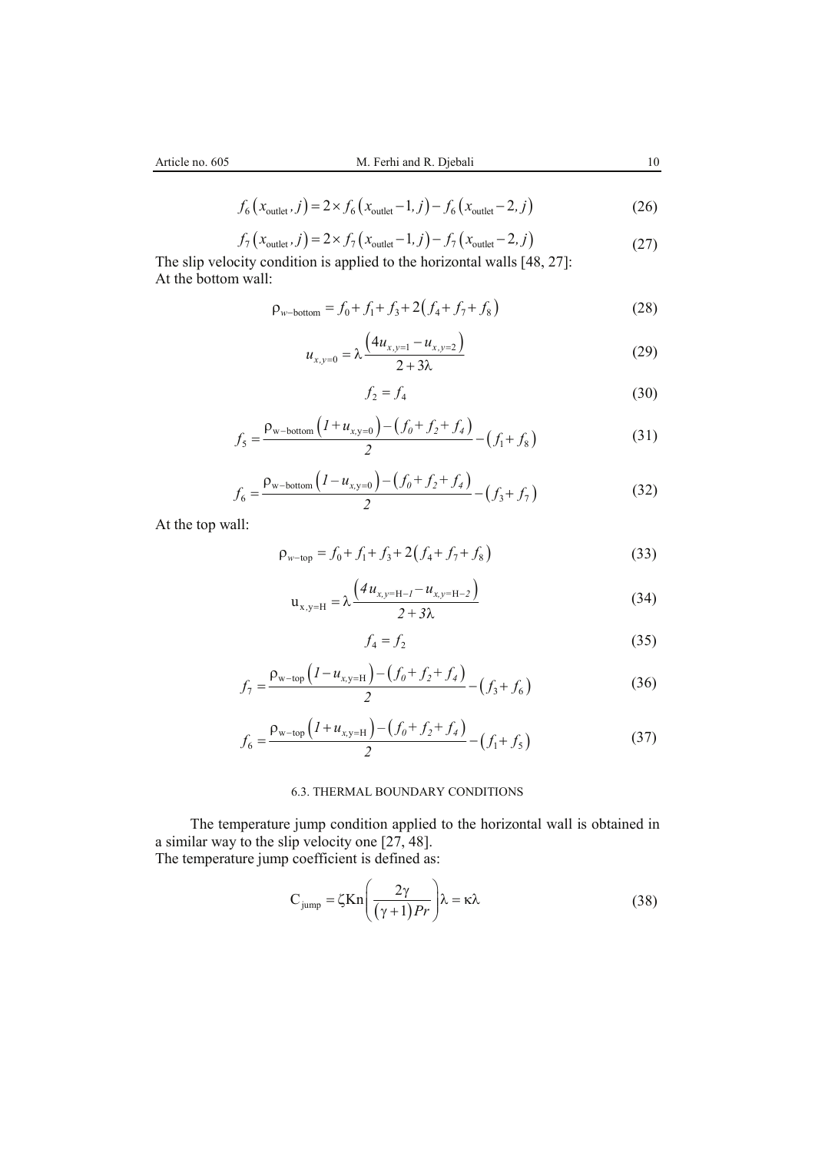$$
f_6(x_{\text{outlet}}, j) = 2 \times f_6(x_{\text{outlet}} - 1, j) - f_6(x_{\text{outlet}} - 2, j)
$$
 (26)

$$
f_7(x_{\text{outlet}}, j) = 2 \times f_7(x_{\text{outlet}} - 1, j) - f_7(x_{\text{outlet}} - 2, j)
$$
\n
$$
f_7(x_{\text{outlet}} - 2, j) \tag{27}
$$

The slip velocity condition is applied to the horizontal walls [48, 27]: At the bottom wall:

$$
\rho_{w-bottom} = f_0 + f_1 + f_3 + 2(f_4 + f_7 + f_8)
$$
\n(28)

$$
u_{x,y=0} = \lambda \frac{\left(4u_{x,y=1} - u_{x,y=2}\right)}{2 + 3\lambda} \tag{29}
$$

$$
f_2 = f_4 \tag{30}
$$

$$
f_5 = \frac{\rho_{\text{w-bound}} \left( I + u_{\text{x,y=0}} \right) - \left( f_0 + f_2 + f_4 \right)}{2} - \left( f_1 + f_8 \right) \tag{31}
$$

$$
f_6 = \frac{\rho_{\text{w}-\text{bottom}} \left(1 - u_{\text{x},\text{y}=0}\right) - \left(f_0 + f_2 + f_4\right)}{2} - \left(f_3 + f_7\right) \tag{32}
$$

At the top wall:

$$
\rho_{w-top} = f_0 + f_1 + f_3 + 2(f_4 + f_7 + f_8)
$$
\n(33)

$$
u_{x,y=H} = \lambda \frac{\left(4u_{x,y=H-1} - u_{x,y=H-2}\right)}{2 + 3\lambda} \tag{34}
$$

$$
f_4 = f_2 \tag{35}
$$

$$
f_7 = \frac{\rho_{w-top} \left( I - u_{xy=H} \right) - \left( f_0 + f_2 + f_4 \right)}{2} - \left( f_3 + f_6 \right) \tag{36}
$$

$$
f_6 = \frac{\rho_{\text{w-top}} \left( I + u_{\text{x,y-H}} \right) - \left( f_0 + f_2 + f_4 \right)}{2} - \left( f_1 + f_5 \right) \tag{37}
$$

## 6.3. THERMAL BOUNDARY CONDITIONS

The temperature jump condition applied to the horizontal wall is obtained in a similar way to the slip velocity one  $[27, 48]$ . The temperature jump coefficient is defined as:

$$
C_{jump} = \zeta Kn \left(\frac{2\gamma}{(\gamma + 1)Pr}\right) \lambda = \kappa \lambda
$$
 (38)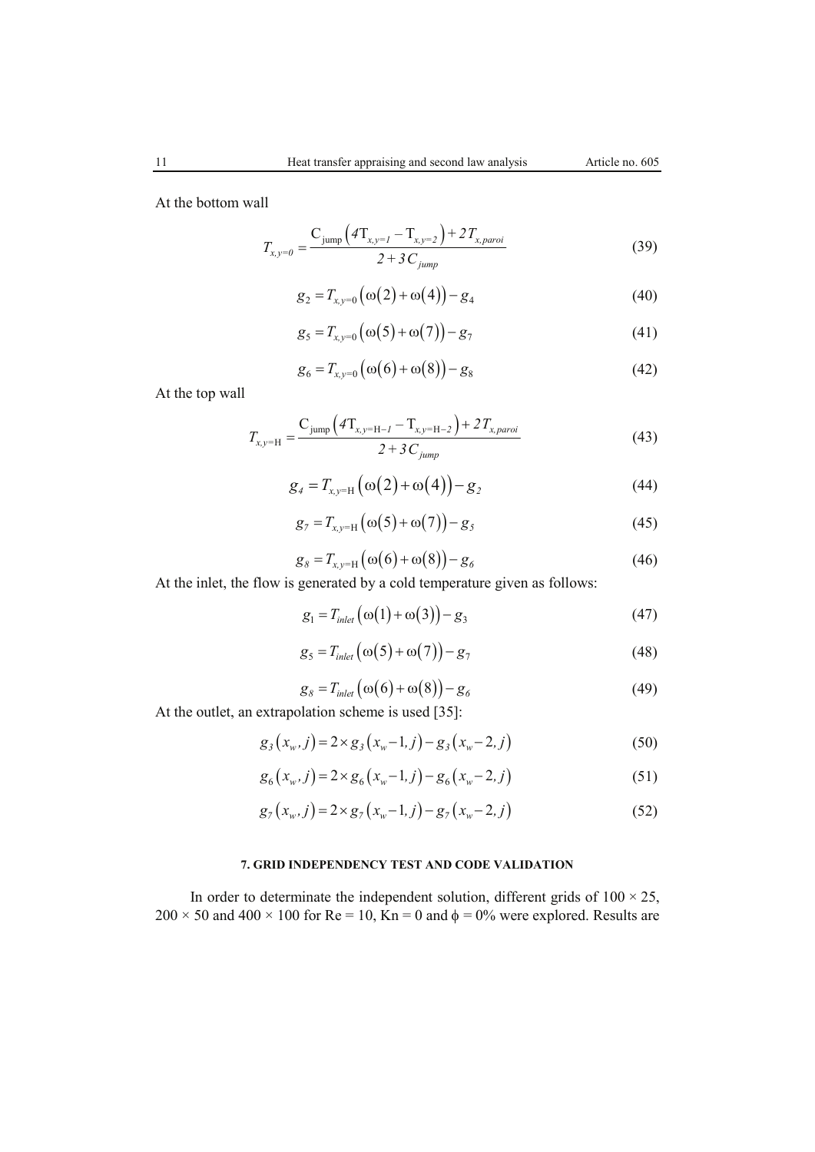At the bottom wall

$$
T_{x,y=0} = \frac{C_{\text{jump}} \left( 4 \, \text{T}_{x,y=1} - \text{T}_{x,y=2} \right) + 2 \, T_{x,paroi}}{2 + 3 \, C_{\text{jump}}} \tag{39}
$$

$$
g_2 = T_{x,y=0} \left( \omega(2) + \omega(4) \right) - g_4 \tag{40}
$$

$$
g_5 = T_{x,y=0} \left( \omega(5) + \omega(7) \right) - g_7 \tag{41}
$$

$$
g_6 = T_{x,y=0} \left( \omega(6) + \omega(8) \right) - g_8 \tag{42}
$$

At the top wall

$$
T_{x,y=H} = \frac{C_{jump} (4T_{x,y=H-I} - T_{x,y=H-2}) + 2T_{x,paroi}}{2 + 3C_{jump}}
$$
(43)

$$
g_4 = T_{x,y=H} \left( \omega(2) + \omega(4) \right) - g_2 \tag{44}
$$

$$
g_7 = T_{x,y=H} \left( \omega(5) + \omega(7) \right) - g_5 \tag{45}
$$

$$
g_{\delta} = T_{x, y=H} \left( \omega(6) + \omega(8) \right) - g_{\delta} \tag{46}
$$

At the inlet, the flow is generated by a cold temperature given as follows:

$$
g_1 = T_{\text{inlet}}\left(\omega(1) + \omega(3)\right) - g_3\tag{47}
$$

$$
g_5 = T_{inlet} \left( \omega(5) + \omega(7) \right) - g_7 \tag{48}
$$

$$
g_{\delta} = T_{\text{inlet}}\left(\omega(6) + \omega(8)\right) - g_{\delta} \tag{49}
$$

At the outlet, an extrapolation scheme is used [35]:

$$
g_3(x_w, j) = 2 \times g_3(x_w - 1, j) - g_3(x_w - 2, j)
$$
\n(50)

$$
g_6(x_w, j) = 2 \times g_6(x_w - 1, j) - g_6(x_w - 2, j)
$$
\n(51)

$$
g_7(x_w, j) = 2 \times g_7(x_w - 1, j) - g_7(x_w - 2, j)
$$
\n(52)

# **7. GRID INDEPENDENCY TEST AND CODE VALIDATION**

In order to determinate the independent solution, different grids of  $100 \times 25$ ,  $200 \times 50$  and  $400 \times 100$  for Re = 10, Kn = 0 and  $\phi = 0\%$  were explored. Results are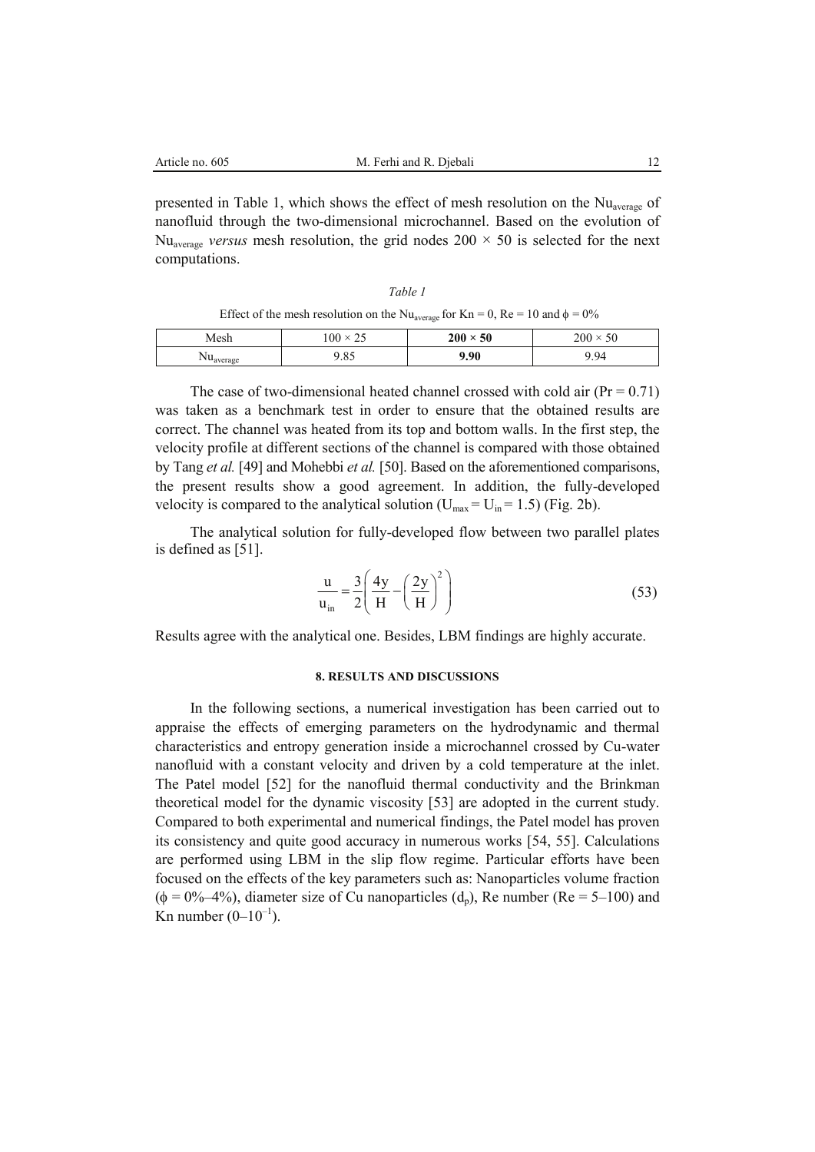presented in Table 1, which shows the effect of mesh resolution on the  $Nu_{average}$  of nanofluid through the two-dimensional microchannel. Based on the evolution of Nu<sub>average</sub> *versus* mesh resolution, the grid nodes  $200 \times 50$  is selected for the next computations.

| Table 1                                                                                        |   |  |               |  |  |
|------------------------------------------------------------------------------------------------|---|--|---------------|--|--|
| Effect of the mesh resolution on the Nu <sub>average</sub> for Kn = 0, Re = 10 and $\phi$ = 0% |   |  |               |  |  |
|                                                                                                | . |  | $ -$<br>- - - |  |  |

| Mesh                               | 00<br>ົາເ<br>$\times$<br>ت | <b>200</b><br>$\times$ 50 | 50<br>200<br>υU |
|------------------------------------|----------------------------|---------------------------|-----------------|
| <sup>1</sup> vu <sub>average</sub> | 9.85                       | 9.90                      | 9.94            |

The case of two-dimensional heated channel crossed with cold air  $(Pr = 0.71)$ was taken as a benchmark test in order to ensure that the obtained results are correct. The channel was heated from its top and bottom walls. In the first step, the velocity profile at different sections of the channel is compared with those obtained by Tang *et al.* [49] and Mohebbi *et al.* [50]. Based on the aforementioned comparisons, the present results show a good agreement. In addition, the fully-developed velocity is compared to the analytical solution ( $U_{\text{max}} = U_{\text{in}} = 1.5$ ) (Fig. 2b).

The analytical solution for fully-developed flow between two parallel plates is defined as [51].

$$
\frac{u}{u_{in}} = \frac{3}{2} \left( \frac{4y}{H} - \left( \frac{2y}{H} \right)^2 \right)
$$
(53)

Results agree with the analytical one. Besides, LBM findings are highly accurate.

#### **8. RESULTS AND DISCUSSIONS**

In the following sections, a numerical investigation has been carried out to appraise the effects of emerging parameters on the hydrodynamic and thermal characteristics and entropy generation inside a microchannel crossed by Cu-water nanofluid with a constant velocity and driven by a cold temperature at the inlet. The Patel model [52] for the nanofluid thermal conductivity and the Brinkman theoretical model for the dynamic viscosity [53] are adopted in the current study. Compared to both experimental and numerical findings, the Patel model has proven its consistency and quite good accuracy in numerous works [54, 55]. Calculations are performed using LBM in the slip flow regime. Particular efforts have been focused on the effects of the key parameters such as: Nanoparticles volume fraction  $(\phi = 0\% - 4\%)$ , diameter size of Cu nanoparticles  $(d_p)$ , Re number (Re = 5–100) and Kn number  $(0-10^{-1})$ .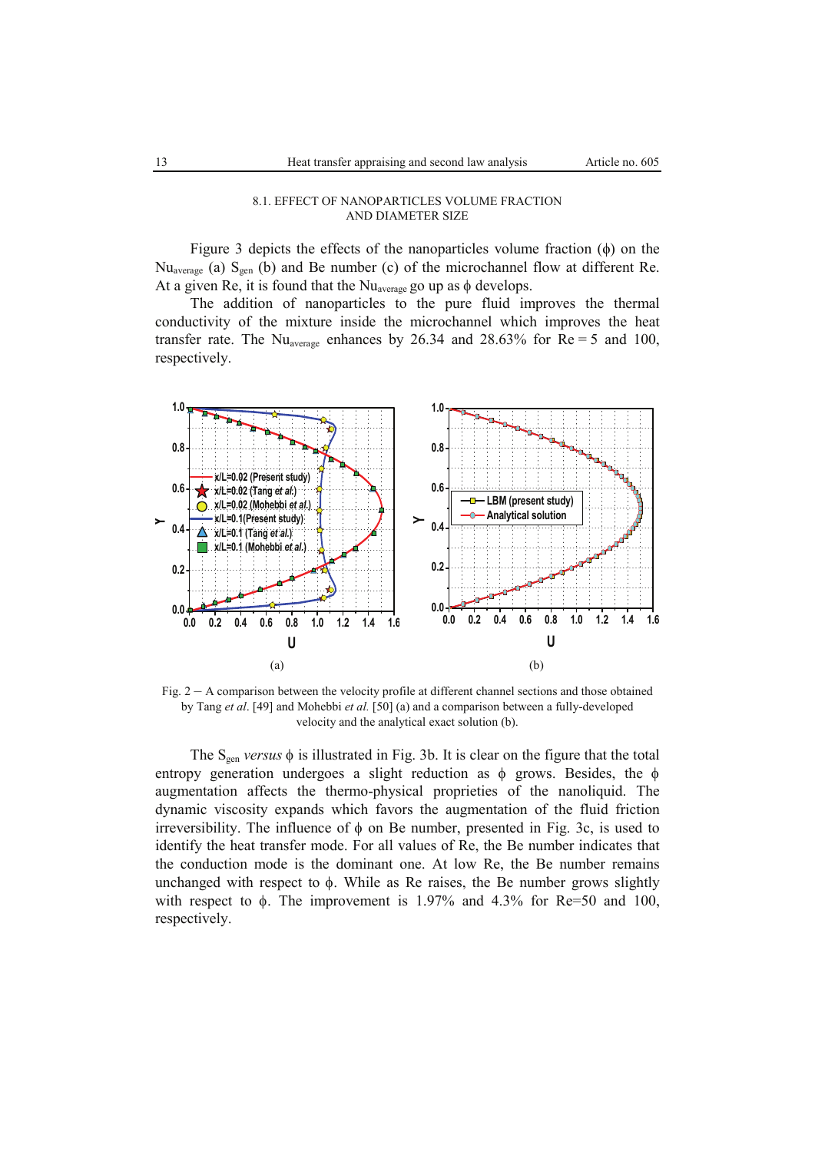# 8.1. EFFECT OF NANOPARTICLES VOLUME FRACTION AND DIAMETER SIZE

Figure 3 depicts the effects of the nanoparticles volume fraction  $(\phi)$  on the Nu<sub>average</sub> (a)  $S<sub>gen</sub>$  (b) and Be number (c) of the microchannel flow at different Re. At a given Re, it is found that the Nu<sub>average</sub> go up as  $\phi$  develops.

The addition of nanoparticles to the pure fluid improves the thermal conductivity of the mixture inside the microchannel which improves the heat transfer rate. The Nu<sub>average</sub> enhances by 26.34 and 28.63% for  $Re = 5$  and 100, respectively.



Fig. 2 – A comparison between the velocity profile at different channel sections and those obtained by Tang *et al*. [49] and Mohebbi *et al.* [50] (a) and a comparison between a fully-developed velocity and the analytical exact solution (b).

The  $S_{gen}$  *versus*  $\phi$  is illustrated in Fig. 3b. It is clear on the figure that the total entropy generation undergoes a slight reduction as  $\phi$  grows. Besides, the  $\phi$ augmentation affects the thermo-physical proprieties of the nanoliquid. The dynamic viscosity expands which favors the augmentation of the fluid friction irreversibility. The influence of  $\phi$  on Be number, presented in Fig. 3c, is used to identify the heat transfer mode. For all values of Re, the Be number indicates that the conduction mode is the dominant one. At low Re, the Be number remains unchanged with respect to  $\phi$ . While as Re raises, the Be number grows slightly with respect to  $\phi$ . The improvement is 1.97% and 4.3% for Re=50 and 100, respectively.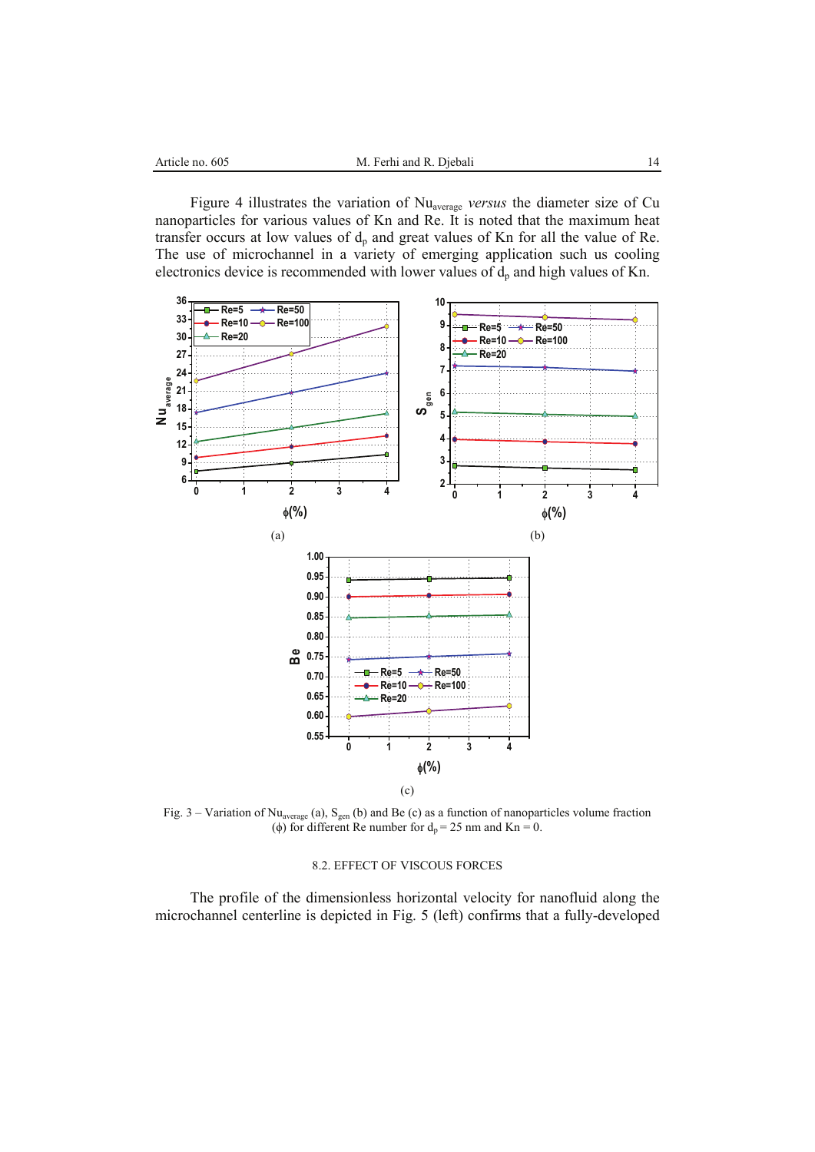Figure 4 illustrates the variation of Nuaverage *versus* the diameter size of Cu nanoparticles for various values of Kn and Re. It is noted that the maximum heat transfer occurs at low values of  $d_p$  and great values of Kn for all the value of Re. The use of microchannel in a variety of emerging application such us cooling electronics device is recommended with lower values of  $d_p$  and high values of Kn.



Fig. 3 – Variation of Nu<sub>average</sub> (a), S<sub>gen</sub> (b) and Be (c) as a function of nanoparticles volume fraction ( $\phi$ ) for different Re number for  $d_p = 25$  nm and Kn = 0.

8.2. EFFECT OF VISCOUS FORCES

The profile of the dimensionless horizontal velocity for nanofluid along the microchannel centerline is depicted in Fig. 5 (left) confirms that a fully-developed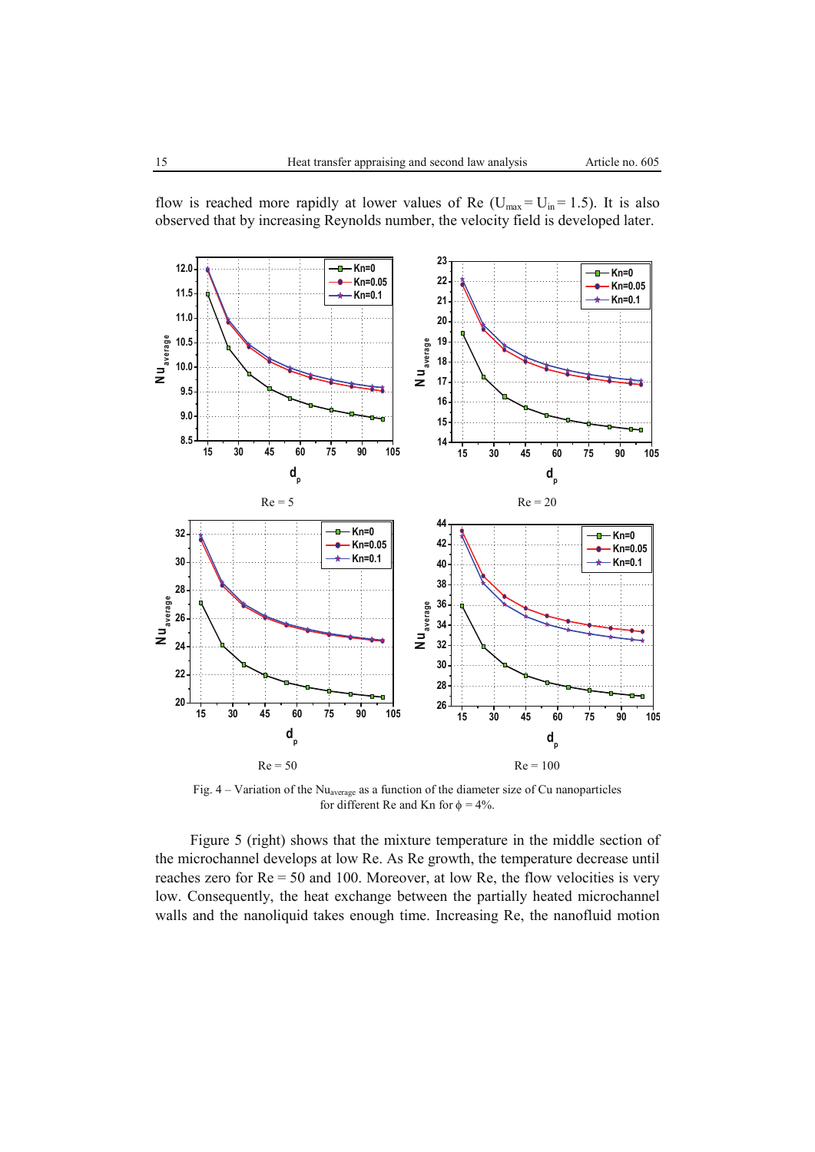

flow is reached more rapidly at lower values of Re ( $U_{max} = U_{in} = 1.5$ ). It is also observed that by increasing Reynolds number, the velocity field is developed later.

Fig.  $4 - \text{Variation of the Nu}_{\text{average}}$  as a function of the diameter size of Cu nanoparticles for different Re and Kn for  $\phi = 4\%$ .

Figure 5 (right) shows that the mixture temperature in the middle section of the microchannel develops at low Re. As Re growth, the temperature decrease until reaches zero for  $Re = 50$  and 100. Moreover, at low Re, the flow velocities is very low. Consequently, the heat exchange between the partially heated microchannel walls and the nanoliquid takes enough time. Increasing Re, the nanofluid motion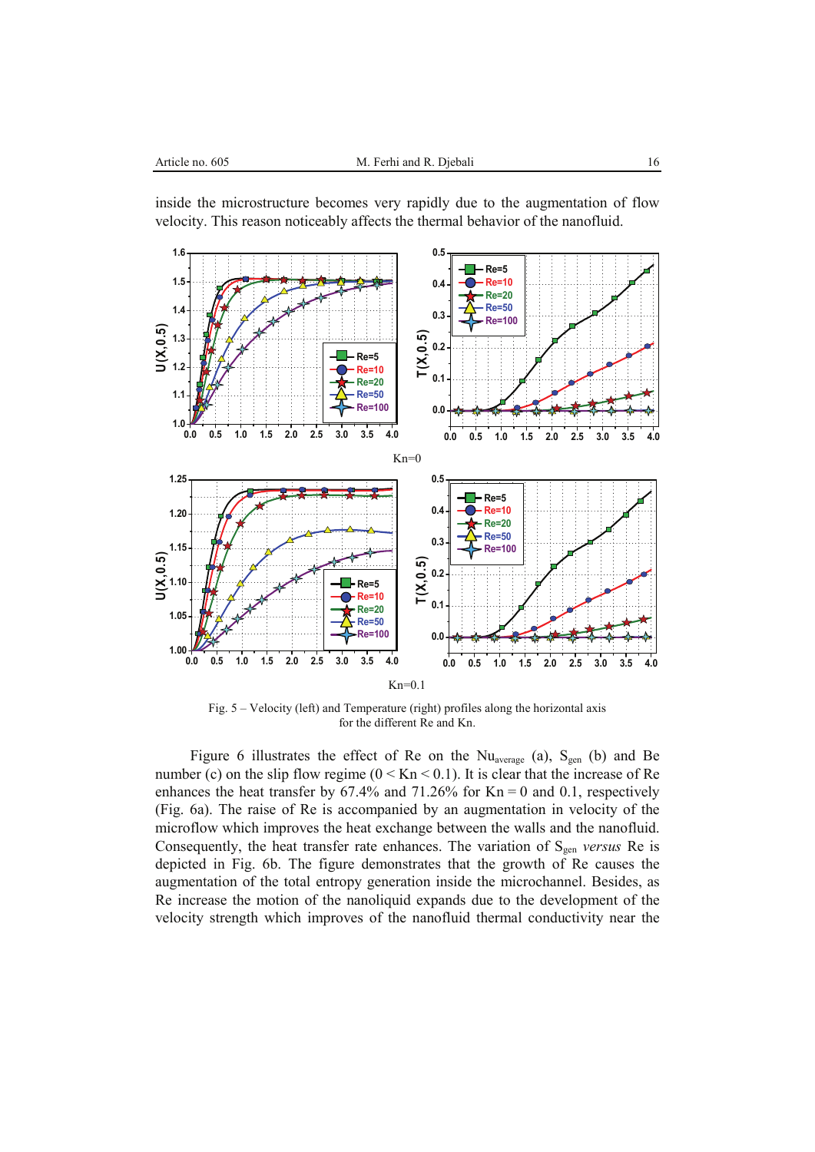

inside the microstructure becomes very rapidly due to the augmentation of flow velocity. This reason noticeably affects the thermal behavior of the nanofluid.

Fig. 5 – Velocity (left) and Temperature (right) profiles along the horizontal axis for the different Re and Kn.

Figure 6 illustrates the effect of Re on the Nu<sub>average</sub> (a),  $S_{gen}$  (b) and Be number (c) on the slip flow regime  $(0 \le Kn \le 0.1)$ . It is clear that the increase of Re enhances the heat transfer by  $67.4\%$  and  $71.26\%$  for Kn = 0 and 0.1, respectively (Fig. 6a). The raise of Re is accompanied by an augmentation in velocity of the microflow which improves the heat exchange between the walls and the nanofluid. Consequently, the heat transfer rate enhances. The variation of  $S_{gen}$  *versus* Re is depicted in Fig. 6b. The figure demonstrates that the growth of Re causes the augmentation of the total entropy generation inside the microchannel. Besides, as Re increase the motion of the nanoliquid expands due to the development of the velocity strength which improves of the nanofluid thermal conductivity near the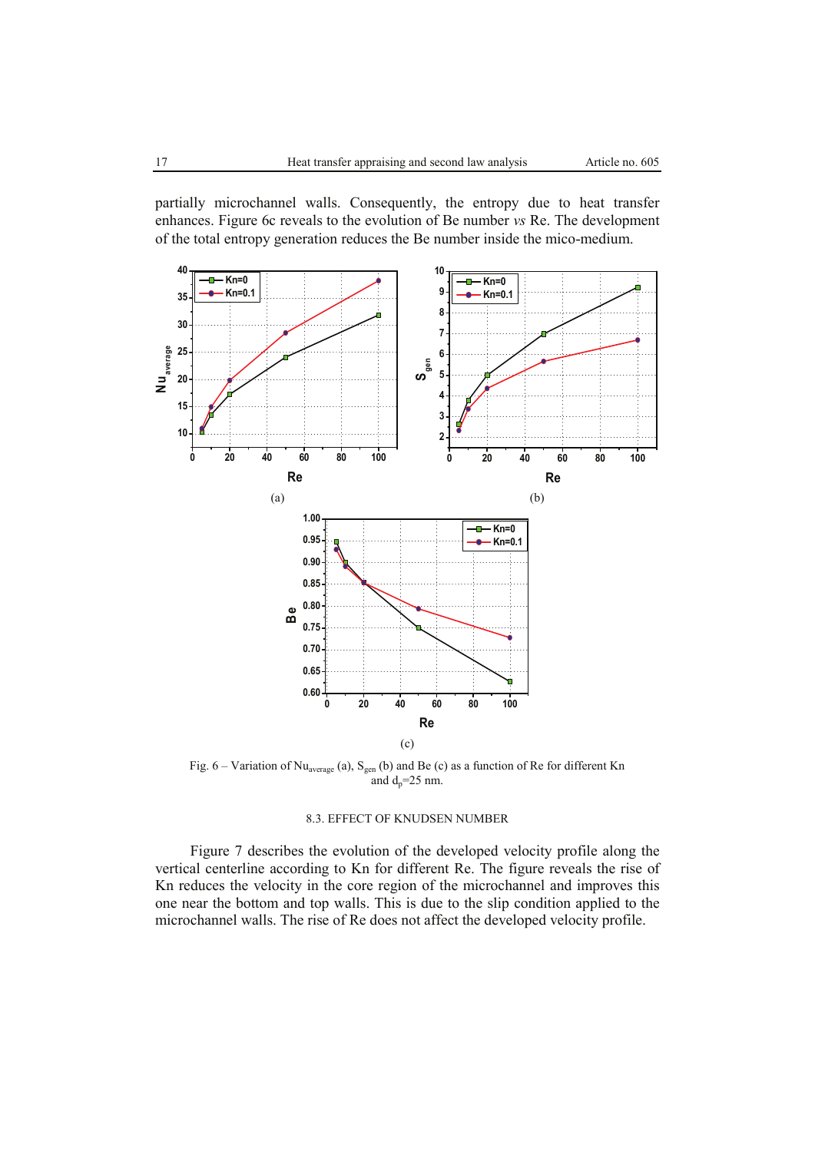partially microchannel walls. Consequently, the entropy due to heat transfer enhances. Figure 6c reveals to the evolution of Be number *vs* Re. The development of the total entropy generation reduces the Be number inside the mico-medium.



Fig. 6 – Variation of Nu<sub>average</sub> (a),  $S_{gen}$  (b) and Be (c) as a function of Re for different Kn and  $d_p = 25$  nm.

### 8.3. EFFECT OF KNUDSEN NUMBER

Figure 7 describes the evolution of the developed velocity profile along the vertical centerline according to Kn for different Re. The figure reveals the rise of Kn reduces the velocity in the core region of the microchannel and improves this one near the bottom and top walls. This is due to the slip condition applied to the microchannel walls. The rise of Re does not affect the developed velocity profile.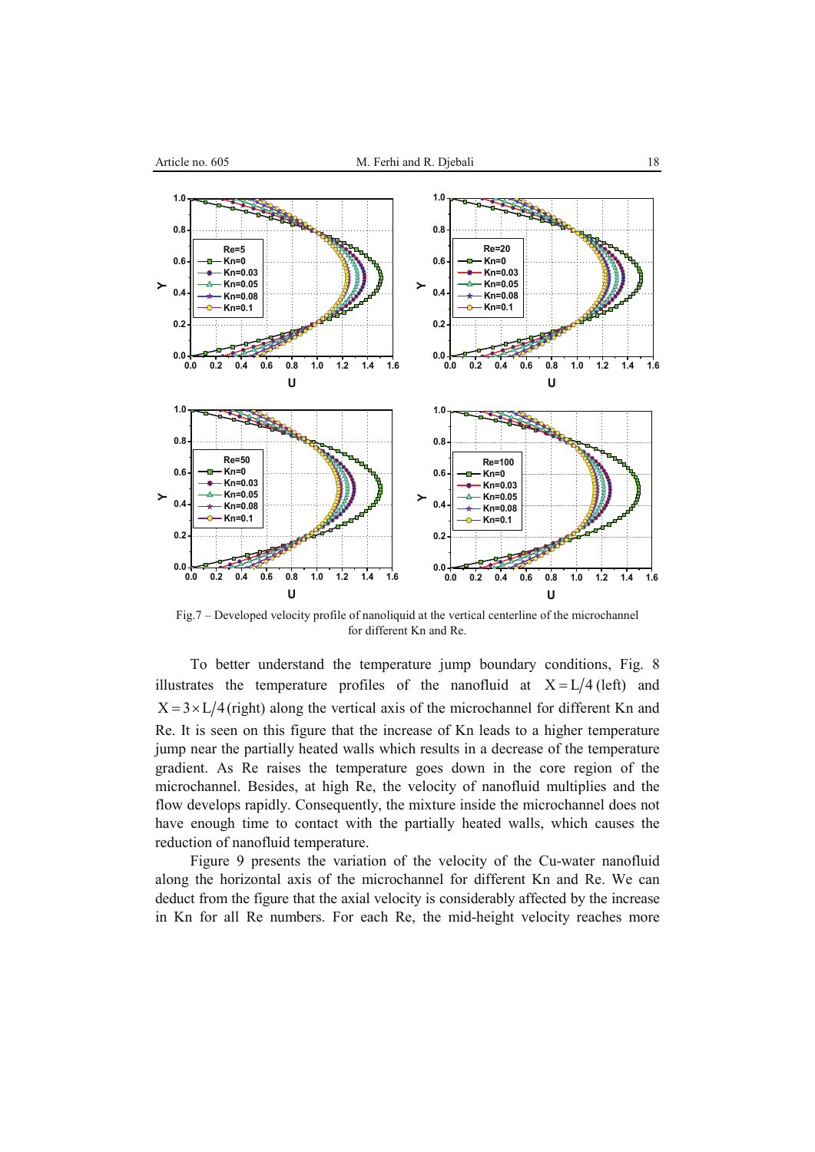

Fig.7 – Developed velocity profile of nanoliquid at the vertical centerline of the microchannel for different Kn and Re.

To better understand the temperature jump boundary conditions, Fig. 8 illustrates the temperature profiles of the nanofluid at  $X = L/4$  (left) and  $X = 3 \times L/4$  (right) along the vertical axis of the microchannel for different Kn and Re. It is seen on this figure that the increase of Kn leads to a higher temperature jump near the partially heated walls which results in a decrease of the temperature gradient. As Re raises the temperature goes down in the core region of the microchannel. Besides, at high Re, the velocity of nanofluid multiplies and the flow develops rapidly. Consequently, the mixture inside the microchannel does not have enough time to contact with the partially heated walls, which causes the reduction of nanofluid temperature.

Figure 9 presents the variation of the velocity of the Cu-water nanofluid along the horizontal axis of the microchannel for different Kn and Re. We can deduct from the figure that the axial velocity is considerably affected by the increase in Kn for all Re numbers. For each Re, the mid-height velocity reaches more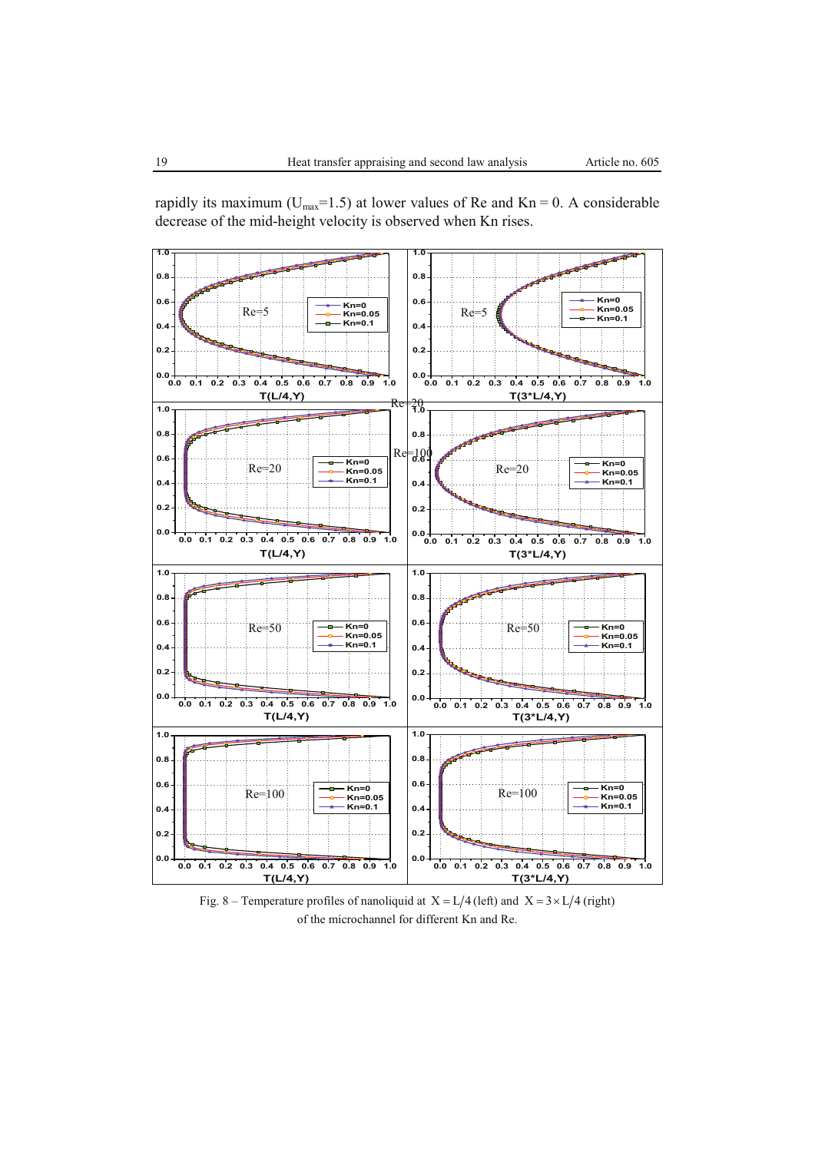

rapidly its maximum ( $U_{\text{max}}$ =1.5) at lower values of Re and Kn = 0. A considerable decrease of the mid-height velocity is observed when Kn rises.

Fig. 8 – Temperature profiles of nanoliquid at  $X = L/4$  (left) and  $X = 3 \times L/4$  (right) of the microchannel for different Kn and Re.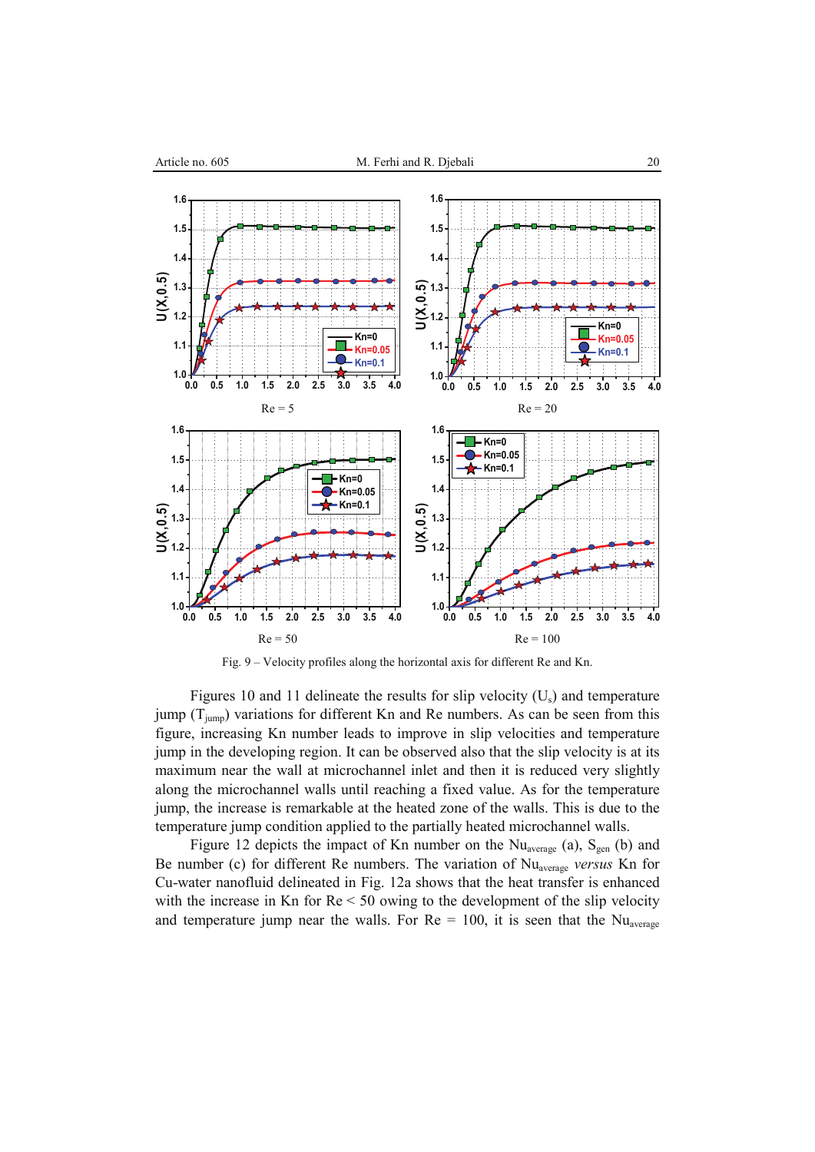

Fig. 9 – Velocity profiles along the horizontal axis for different Re and Kn.

Figures 10 and 11 delineate the results for slip velocity  $(U_s)$  and temperature jump ( $T_{\text{jump}}$ ) variations for different Kn and Re numbers. As can be seen from this figure, increasing Kn number leads to improve in slip velocities and temperature jump in the developing region. It can be observed also that the slip velocity is at its maximum near the wall at microchannel inlet and then it is reduced very slightly along the microchannel walls until reaching a fixed value. As for the temperature jump, the increase is remarkable at the heated zone of the walls. This is due to the temperature jump condition applied to the partially heated microchannel walls.

and temperature jump near the walls. For  $Re = 100$ , it is seen that the Nu<sub>average</sub> Figure 12 depicts the impact of Kn number on the Nu<sub>average</sub> (a),  $S_{gen}$  (b) and Be number (c) for different Re numbers. The variation of Nuaverage *versus* Kn for Cu-water nanofluid delineated in Fig. 12a shows that the heat transfer is enhanced with the increase in Kn for  $Re < 50$  owing to the development of the slip velocity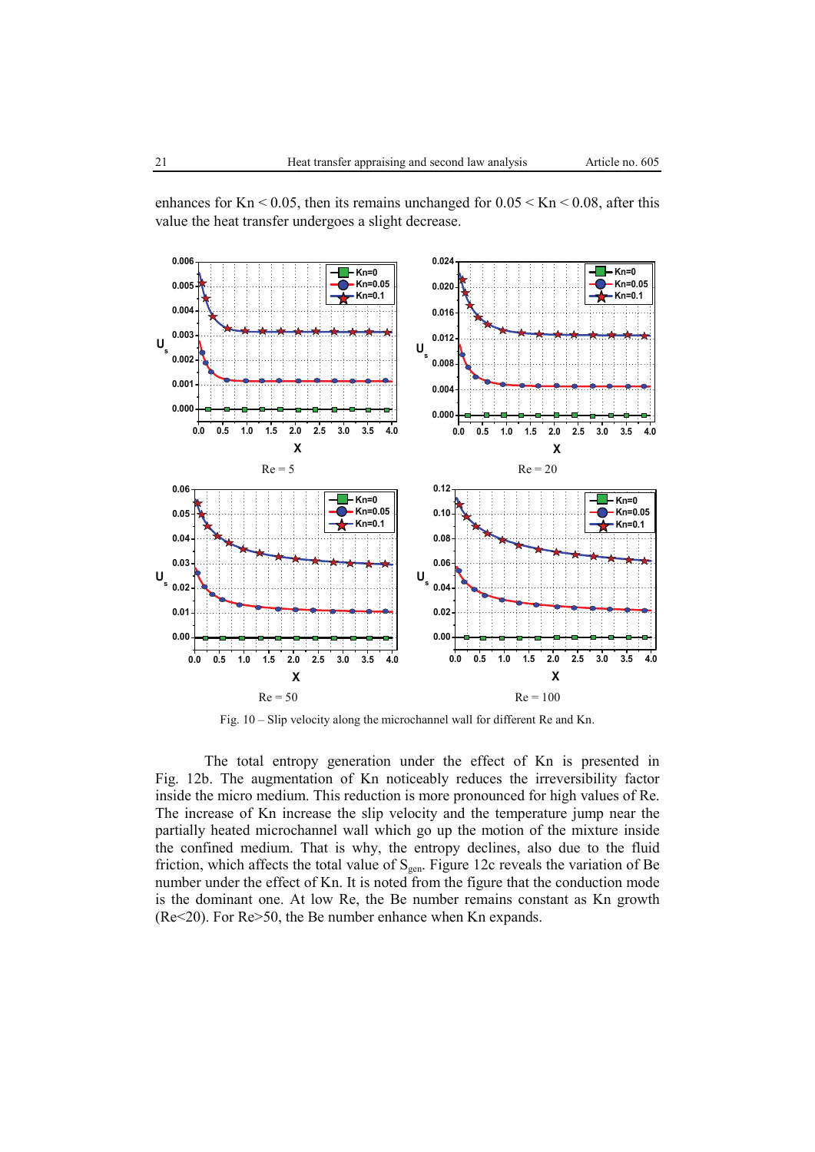

enhances for Kn < 0.05, then its remains unchanged for  $0.05 \leq Kn \leq 0.08$ , after this value the heat transfer undergoes a slight decrease.

Fig. 10 – Slip velocity along the microchannel wall for different Re and Kn.

The total entropy generation under the effect of Kn is presented in Fig. 12b. The augmentation of Kn noticeably reduces the irreversibility factor inside the micro medium. This reduction is more pronounced for high values of Re. The increase of Kn increase the slip velocity and the temperature jump near the partially heated microchannel wall which go up the motion of the mixture inside the confined medium. That is why, the entropy declines, also due to the fluid friction, which affects the total value of  $S_{gen}$ . Figure 12c reveals the variation of Be number under the effect of Kn. It is noted from the figure that the conduction mode is the dominant one. At low Re, the Be number remains constant as Kn growth (Re<20). For Re>50, the Be number enhance when Kn expands.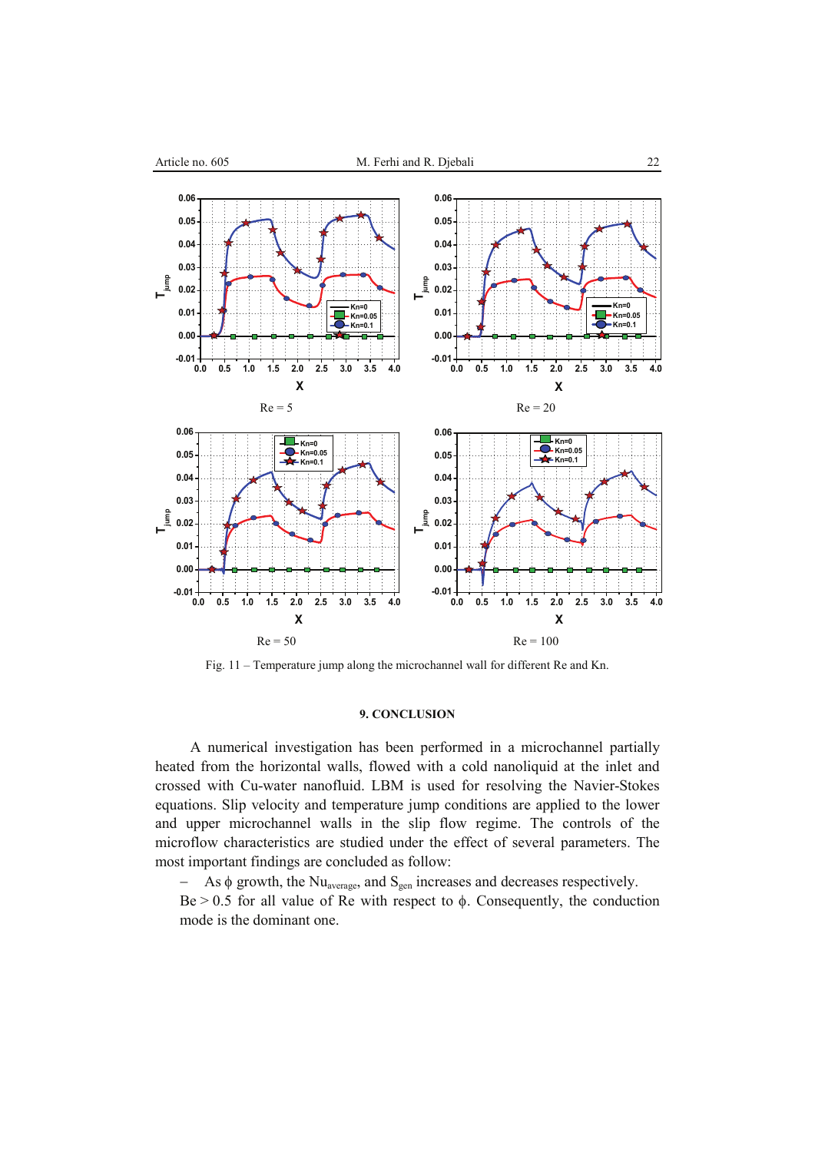

Fig. 11 – Temperature jump along the microchannel wall for different Re and Kn.

### **9. CONCLUSION**

A numerical investigation has been performed in a microchannel partially heated from the horizontal walls, flowed with a cold nanoliquid at the inlet and crossed with Cu-water nanofluid. LBM is used for resolving the Navier-Stokes equations. Slip velocity and temperature jump conditions are applied to the lower and upper microchannel walls in the slip flow regime. The controls of the microflow characteristics are studied under the effect of several parameters. The most important findings are concluded as follow:

 $-$  As  $\phi$  growth, the Nu<sub>average</sub>, and S<sub>gen</sub> increases and decreases respectively.

Be  $> 0.5$  for all value of Re with respect to  $\phi$ . Consequently, the conduction mode is the dominant one.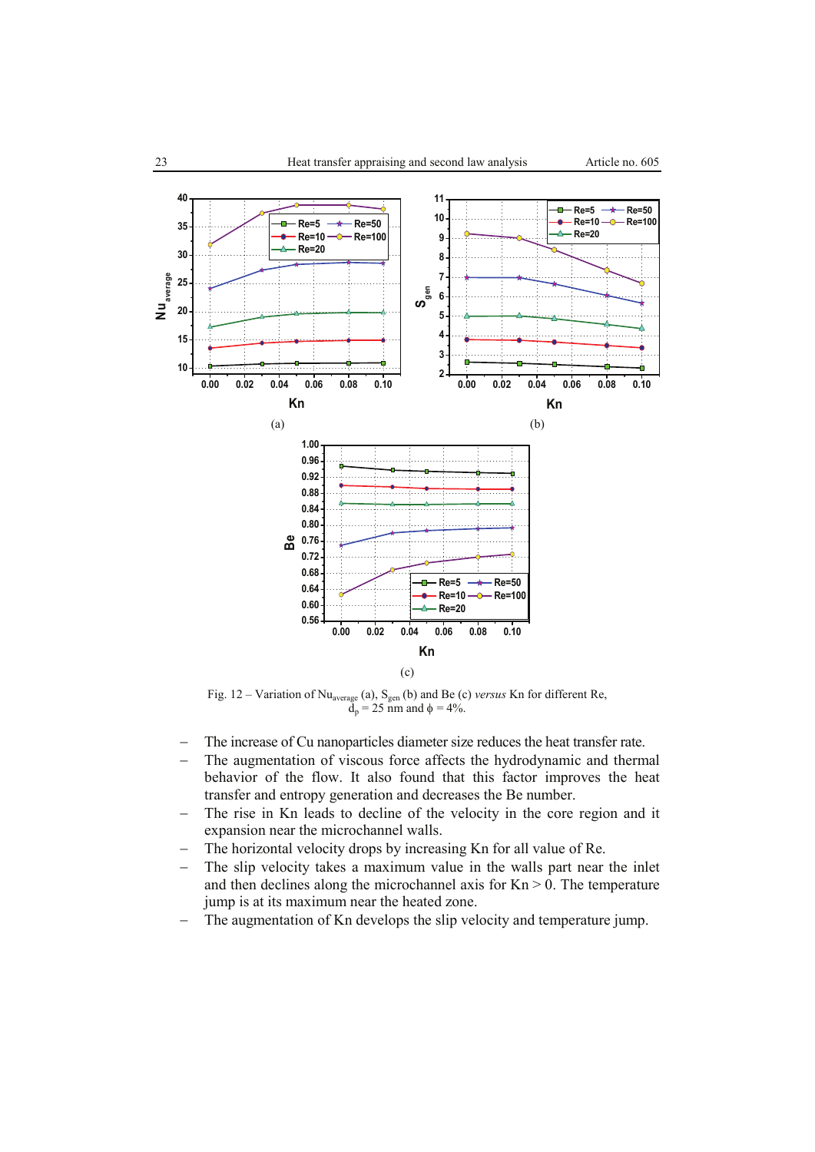

Fig. 12 – Variation of Nuaverage (a), Sgen (b) and Be (c) *versus* Kn for different Re,  $\tilde{d}_p = 25$  nm and  $\phi = 4\%$ .

- The increase of Cu nanoparticles diameter size reduces the heat transfer rate.
- The augmentation of viscous force affects the hydrodynamic and thermal behavior of the flow. It also found that this factor improves the heat transfer and entropy generation and decreases the Be number.
- The rise in Kn leads to decline of the velocity in the core region and it expansion near the microchannel walls.
- The horizontal velocity drops by increasing Kn for all value of Re.
- The slip velocity takes a maximum value in the walls part near the inlet and then declines along the microchannel axis for  $Kn > 0$ . The temperature jump is at its maximum near the heated zone.
- The augmentation of Kn develops the slip velocity and temperature jump.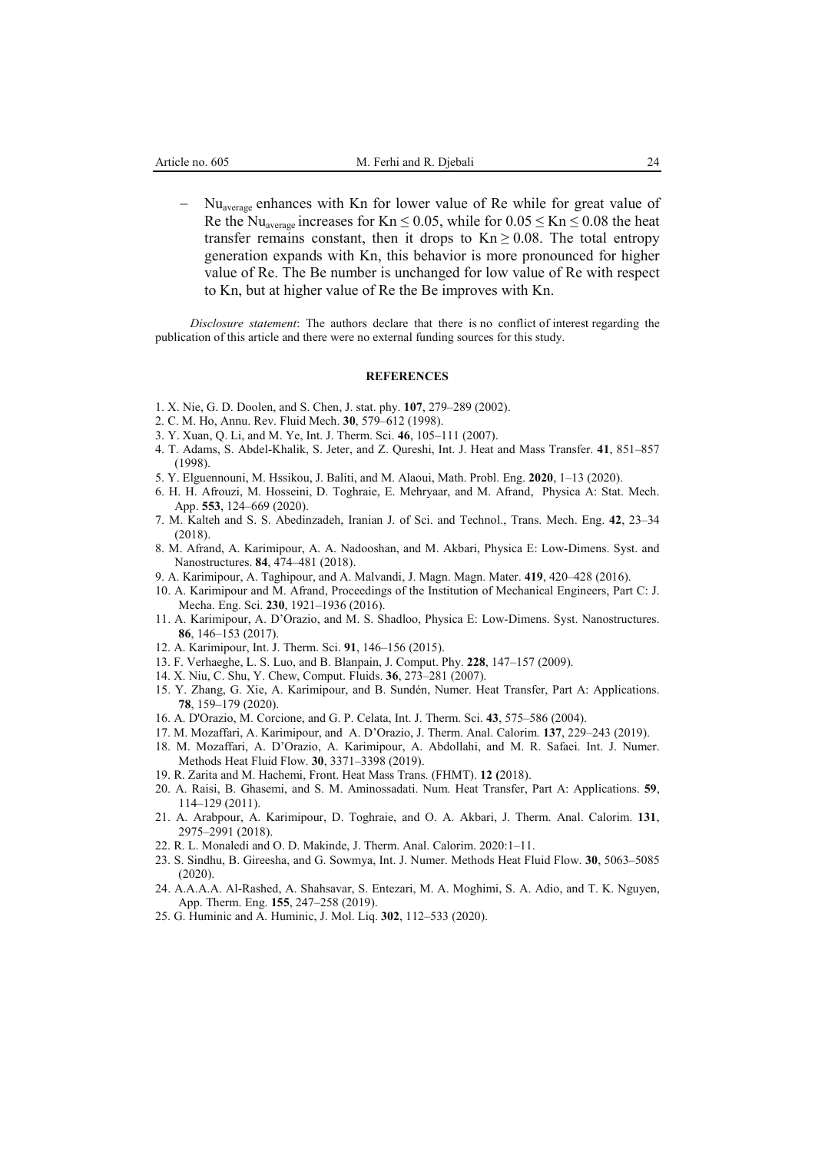Nuaverage enhances with Kn for lower value of Re while for great value of Re the Nu<sub>average</sub> increases for Kn  $\leq$  0.05, while for 0.05  $\leq$  Kn  $\leq$  0.08 the heat transfer remains constant, then it drops to  $Kn \ge 0.08$ . The total entropy generation expands with Kn, this behavior is more pronounced for higher value of Re. The Be number is unchanged for low value of Re with respect to Kn, but at higher value of Re the Be improves with Kn.

*Disclosure statement*: The authors declare that there is no conflict of interest regarding the publication of this article and there were no external funding sources for this study.

#### **REFERENCES**

- 1. X. Nie, G. D. Doolen, and S. Chen, J. stat. phy. **107**, 279–289 (2002).
- 2. C. M. Ho, Annu. Rev. Fluid Mech. **30**, 579–612 (1998).
- 3. Y. Xuan, Q. Li, and M. Ye, Int. J. Therm. Sci. **46**, 105–111 (2007).
- 4. T. Adams, S. Abdel-Khalik, S. Jeter, and Z. Qureshi, Int. J. Heat and Mass Transfer. **41**, 851–857 (1998).
- 5. Y. Elguennouni, M. Hssikou, J. Baliti, and M. Alaoui, Math. Probl. Eng. **2020**, 1–13 (2020).
- 6. H. H. Afrouzi, M. Hosseini, D. Toghraie, E. Mehryaar, and M. Afrand, Physica A: Stat. Mech. App. **553**, 124–669 (2020).
- 7. M. Kalteh and S. S. Abedinzadeh, Iranian J. of Sci. and Technol., Trans. Mech. Eng. **42**, 23–34 (2018).
- 8. M. Afrand, A. Karimipour, A. A. Nadooshan, and M. Akbari, Physica E: Low-Dimens. Syst. and Nanostructures. **84**, 474–481 (2018).
- 9. A. Karimipour, A. Taghipour, and A. Malvandi, J. Magn. Magn. Mater. **419**, 420–428 (2016).
- 10. A. Karimipour and M. Afrand, Proceedings of the Institution of Mechanical Engineers, Part C: J. Mecha. Eng. Sci. **230**, 1921–1936 (2016).
- 11. A. Karimipour, A. D'Orazio, and M. S. Shadloo, Physica E: Low-Dimens. Syst. Nanostructures. **86**, 146–153 (2017).
- 12. A. Karimipour, Int. J. Therm. Sci. **91**, 146–156 (2015).
- 13. F. Verhaeghe, L. S. Luo, and B. Blanpain, J. Comput. Phy. **228**, 147–157 (2009).
- 14. X. Niu, C. Shu, Y. Chew, Comput. Fluids. **36**, 273–281 (2007).
- 15. Y. Zhang, G. Xie, A. Karimipour, and B. Sundén, Numer. Heat Transfer, Part A: Applications. **78**, 159–179 (2020).
- 16. A. D'Orazio, M. Corcione, and G. P. Celata, Int. J. Therm. Sci. **43**, 575–586 (2004).
- 17. M. Mozaffari, A. Karimipour, and A. D'Orazio, J. Therm. Anal. Calorim. **137**, 229–243 (2019).
- 18. M. Mozaffari, A. D'Orazio, A. Karimipour, A. Abdollahi, and M. R. Safaei. Int. J. Numer. Methods Heat Fluid Flow. **30**, 3371–3398 (2019).
- 19. R. Zarita and M. Hachemi, Front. Heat Mass Trans. (FHMT). **12 (**2018).
- 20. A. Raisi, B. Ghasemi, and S. M. Aminossadati. Num. Heat Transfer, Part A: Applications. **59**, 114–129 (2011).
- 21. A. Arabpour, A. Karimipour, D. Toghraie, and O. A. Akbari, J. Therm. Anal. Calorim. **131**, 2975–2991 (2018).
- 22. R. L. Monaledi and O. D. Makinde, J. Therm. Anal. Calorim. 2020:1–11.
- 23. S. Sindhu, B. Gireesha, and G. Sowmya, Int. J. Numer. Methods Heat Fluid Flow. **30**, 5063–5085 (2020).
- 24. A.A.A.A. Al-Rashed, A. Shahsavar, S. Entezari, M. A. Moghimi, S. A. Adio, and T. K. Nguyen, App. Therm. Eng. **155**, 247–258 (2019).
- 25. G. Huminic and A. Huminic, J. Mol. Liq. **302**, 112–533 (2020).